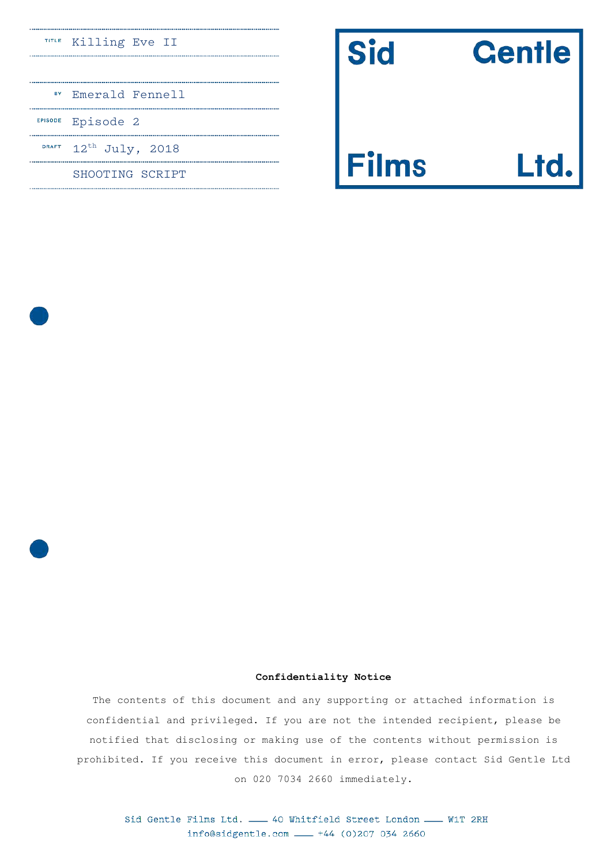### Killing Eve II

|              | <sup>BY</sup> Emerald Fennell |
|--------------|-------------------------------|
|              | EPISODE Episode 2             |
| <b>DRAFT</b> | $12^{\text{th}}$ July, 2018   |
|              | SHOOTING SCRIPT               |

| <b>Centle</b> |  |
|---------------|--|
|               |  |

# Ims

Sid

### **Confidentiality Notice**

The contents of this document and any supporting or attached information is confidential and privileged. If you are not the intended recipient, please be notified that disclosing or making use of the contents without permission is prohibited. If you receive this document in error, please contact Sid Gentle Ltd on 020 7034 2660 immediately.

Sid Gentle Films Ltd. \_\_ 40 Whitfield Street London \_\_ W1T 2RH info@sidgentle.com \_\_ +44 (0)207 034 2660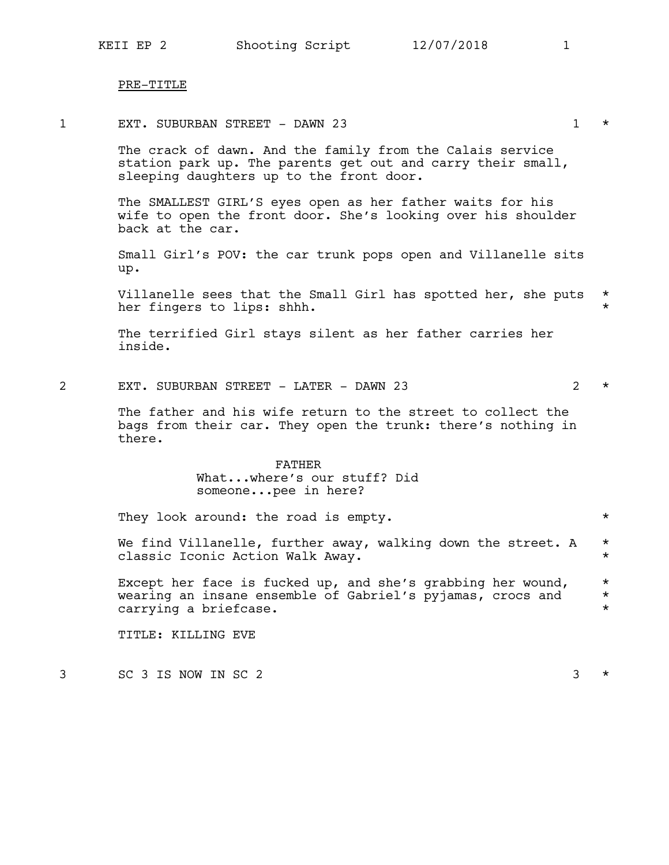### PRE-TITLE

1 EXT. SUBURBAN STREET - DAWN 23 1 \*

The crack of dawn. And the family from the Calais service station park up. The parents get out and carry their small, sleeping daughters up to the front door.

The SMALLEST GIRL'S eyes open as her father waits for his wife to open the front door. She's looking over his shoulder back at the car.

Small Girl's POV: the car trunk pops open and Villanelle sits up.

Villanelle sees that the Small Girl has spotted her, she puts  $*$ her fingers to lips: shhh.

The terrified Girl stays silent as her father carries her inside.

2 EXT. SUBURBAN STREET - LATER - DAWN 23  $\rightarrow$ 

The father and his wife return to the street to collect the bags from their car. They open the trunk: there's nothing in there.

### FATHER What...where's our stuff? Did someone...pee in here?

They look around: the road is empty.  $*$ 

We find Villanelle, further away, walking down the street. A  $*$ classic Iconic Action Walk Away. \*

Except her face is fucked up, and she's grabbing her wound,  $*$ <br>wearing an insane ensemble of Gabriel's pyiamas, crocs and  $*$ wearing an insane ensemble of Gabriel's pyjamas, crocs and \* carrying a briefcase.  $\star$ 

TITLE: KILLING EVE

 $3 \times$  SC 3 IS NOW IN SC 2  $3 \times$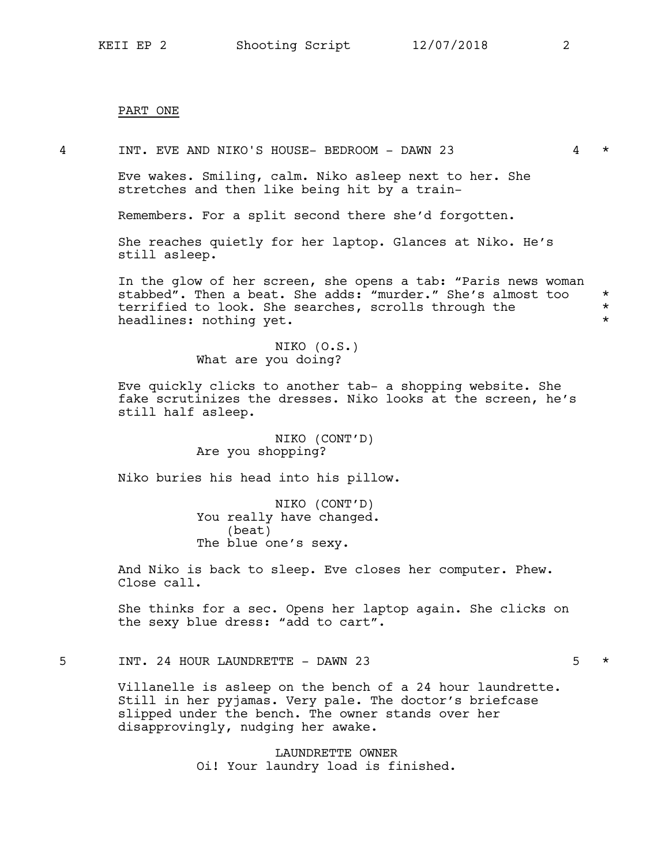### PART ONE

4 INT. EVE AND NIKO'S HOUSE- BEDROOM - DAWN 23 4 \*

Eve wakes. Smiling, calm. Niko asleep next to her. She stretches and then like being hit by a train-

Remembers. For a split second there she'd forgotten.

She reaches quietly for her laptop. Glances at Niko. He's still asleep.

In the glow of her screen, she opens a tab: "Paris news woman stabbed". Then a beat. She adds: "murder." She's almost too \*<br>terrified to look. She searches, scrolls through the \* terrified to look. She searches, scrolls through the \* headlines: nothing yet.  $\star$ 

> NIKO (O.S.) What are you doing?

Eve quickly clicks to another tab- a shopping website. She fake scrutinizes the dresses. Niko looks at the screen, he's still half asleep.

> NIKO (CONT'D) Are you shopping?

Niko buries his head into his pillow.

NIKO (CONT'D) You really have changed. (beat) The blue one's sexy.

And Niko is back to sleep. Eve closes her computer. Phew. Close call.

She thinks for a sec. Opens her laptop again. She clicks on the sexy blue dress: "add to cart".

### 5 INT. 24 HOUR LAUNDRETTE - DAWN 23 5 \*

Villanelle is asleep on the bench of a 24 hour laundrette. Still in her pyjamas. Very pale. The doctor's briefcase slipped under the bench. The owner stands over her disapprovingly, nudging her awake.

> LAUNDRETTE OWNER Oi! Your laundry load is finished.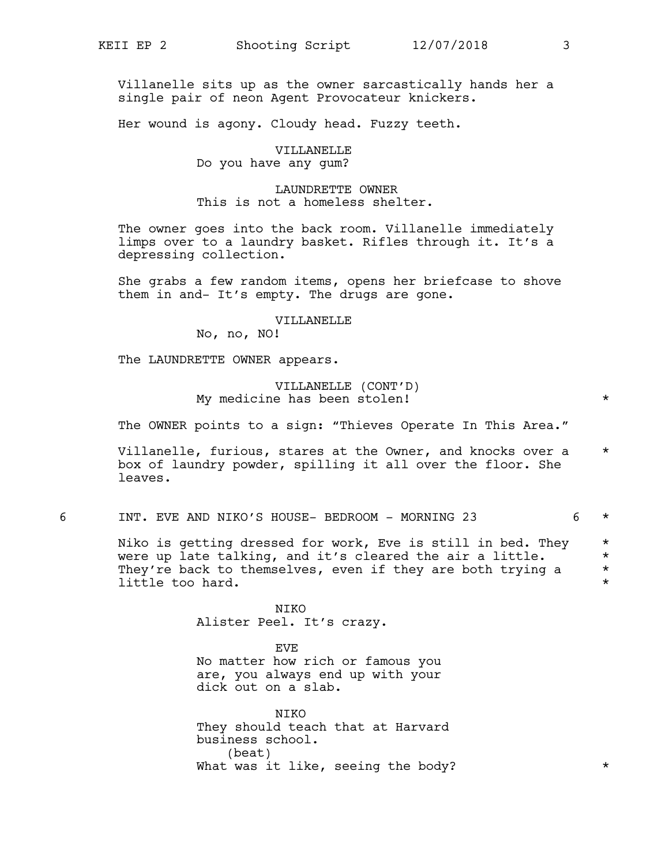Villanelle sits up as the owner sarcastically hands her a single pair of neon Agent Provocateur knickers.

Her wound is agony. Cloudy head. Fuzzy teeth.

### VILLANELLE Do you have any gum?

### LAUNDRETTE OWNER This is not a homeless shelter.

The owner goes into the back room. Villanelle immediately limps over to a laundry basket. Rifles through it. It's a depressing collection.

She grabs a few random items, opens her briefcase to shove them in and- It's empty. The drugs are gone.

### VILLANELLE

No, no, NO!

The LAUNDRETTE OWNER appears.

### VILLANELLE (CONT'D) My medicine has been stolen! \*

The OWNER points to a sign: "Thieves Operate In This Area."

Villanelle, furious, stares at the Owner, and knocks over a \* box of laundry powder, spilling it all over the floor. She leaves.

6 INT. EVE AND NIKO'S HOUSE- BEDROOM - MORNING 23 6 \*

Niko is getting dressed for work, Eve is still in bed. They \* were up late talking, and it's cleared the air a little.  $*$ They're back to themselves, even if they are both trying a  $*$ <br>little too bard little too hard.

> NIKO Alister Peel. It's crazy.

EVE No matter how rich or famous you are, you always end up with your dick out on a slab.

NIKO They should teach that at Harvard business school. (beat) What was it like, seeing the body?  $*$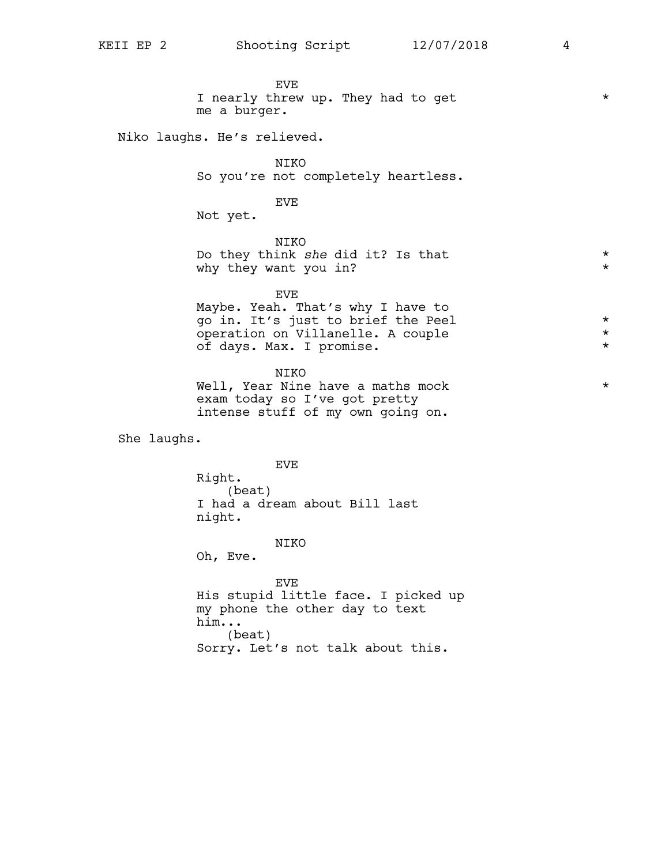EVE I nearly threw up. They had to get  $*$ me a burger.

Niko laughs. He's relieved.

NIKO So you're not completely heartless.

EVE

Not yet.

NIKO Do they think *she* did it? Is that  $*$ why they want you in?  $*$ 

EVE Maybe. Yeah. That's why I have to go in. It's just to brief the Peel \* operation on Villanelle. A couple \* of days. Max. I promise. \*

NIKO Well, Year Nine have a maths mock  $*$ exam today so I've got pretty intense stuff of my own going on.

She laughs.

EVE Right. (beat) I had a dream about Bill last night.

NIKO

Oh, Eve.

EVE His stupid little face. I picked up my phone the other day to text him... (beat) Sorry. Let's not talk about this.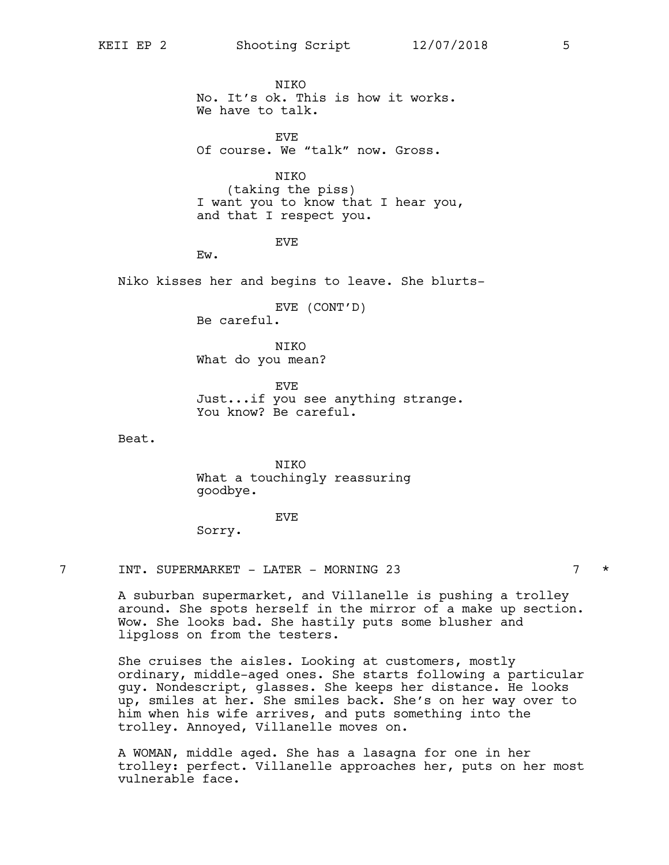**NTKO** No. It's ok. This is how it works. We have to talk.

**EVE** Of course. We "talk" now. Gross.

NIKO (taking the piss) I want you to know that I hear you, and that I respect you.

EVE

Ew.

Niko kisses her and begins to leave. She blurts-

EVE (CONT'D) Be careful.

NIKO What do you mean?

EVE Just...if you see anything strange. You know? Be careful.

Beat.

**NTKO** What a touchingly reassuring goodbye.

EVE

Sorry.

7 INT. SUPERMARKET - LATER - MORNING 23 7 \*

A suburban supermarket, and Villanelle is pushing a trolley around. She spots herself in the mirror of a make up section. Wow. She looks bad. She hastily puts some blusher and lipgloss on from the testers.

She cruises the aisles. Looking at customers, mostly ordinary, middle-aged ones. She starts following a particular guy. Nondescript, glasses. She keeps her distance. He looks up, smiles at her. She smiles back. She's on her way over to him when his wife arrives, and puts something into the trolley. Annoyed, Villanelle moves on.

A WOMAN, middle aged. She has a lasagna for one in her trolley: perfect. Villanelle approaches her, puts on her most vulnerable face.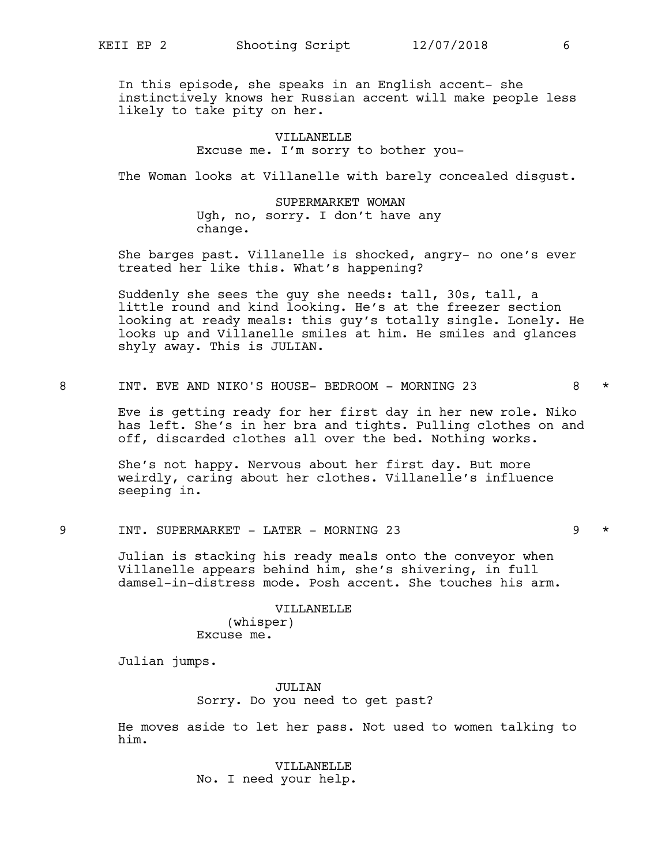In this episode, she speaks in an English accent- she instinctively knows her Russian accent will make people less likely to take pity on her.

> VILLANELLE Excuse me. I'm sorry to bother you-

The Woman looks at Villanelle with barely concealed disgust.

SUPERMARKET WOMAN Ugh, no, sorry. I don't have any change.

She barges past. Villanelle is shocked, angry- no one's ever treated her like this. What's happening?

Suddenly she sees the guy she needs: tall, 30s, tall, a little round and kind looking. He's at the freezer section looking at ready meals: this guy's totally single. Lonely. He looks up and Villanelle smiles at him. He smiles and glances shyly away. This is JULIAN.

8 INT. EVE AND NIKO'S HOUSE- BEDROOM - MORNING 23 8 \*

Eve is getting ready for her first day in her new role. Niko has left. She's in her bra and tights. Pulling clothes on and off, discarded clothes all over the bed. Nothing works.

She's not happy. Nervous about her first day. But more weirdly, caring about her clothes. Villanelle's influence seeping in.

9 INT. SUPERMARKET - LATER - MORNING 23 9 \*

Julian is stacking his ready meals onto the conveyor when Villanelle appears behind him, she's shivering, in full damsel-in-distress mode. Posh accent. She touches his arm.

## VILLANELLE

(whisper) Excuse me.

Julian jumps.

JULIAN Sorry. Do you need to get past?

He moves aside to let her pass. Not used to women talking to him.

> VILLANELLE No. I need your help.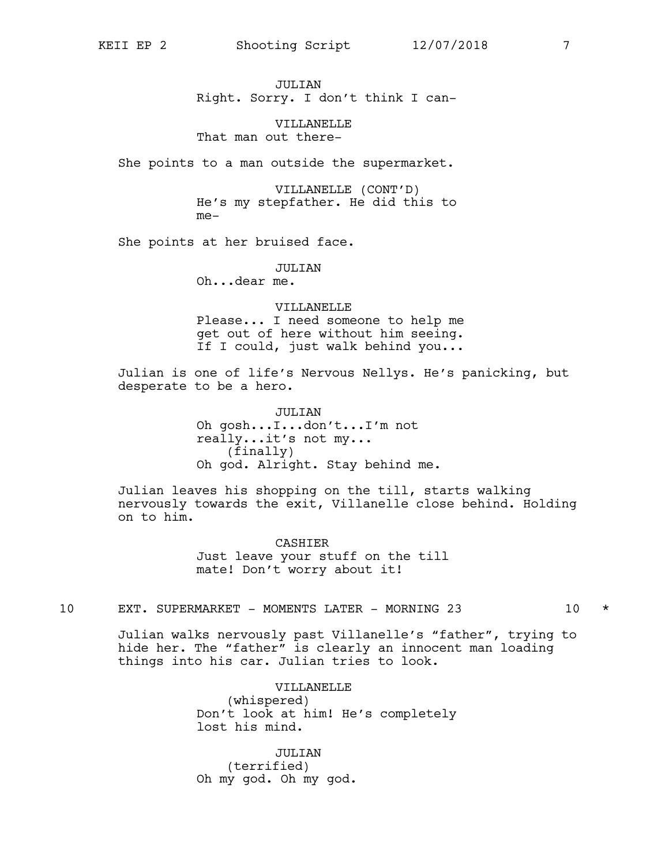JULTAN Right. Sorry. I don't think I can-

VILLANELLE That man out there-

She points to a man outside the supermarket.

VILLANELLE (CONT'D) He's my stepfather. He did this to me-

She points at her bruised face.

JULIAN

Oh...dear me.

VILLANELLE Please... I need someone to help me get out of here without him seeing. If I could, just walk behind you...

Julian is one of life's Nervous Nellys. He's panicking, but desperate to be a hero.

> JULIAN Oh gosh...I...don't...I'm not really...it's not my... (finally) Oh god. Alright. Stay behind me.

Julian leaves his shopping on the till, starts walking nervously towards the exit, Villanelle close behind. Holding on to him.

> **CASHIER** Just leave your stuff on the till mate! Don't worry about it!

10 EXT. SUPERMARKET - MOMENTS LATER - MORNING 23 10 \*

Julian walks nervously past Villanelle's "father", trying to hide her. The "father" is clearly an innocent man loading things into his car. Julian tries to look.

> VILLANELLE (whispered) Don't look at him! He's completely lost his mind.

JULIAN (terrified) Oh my god. Oh my god.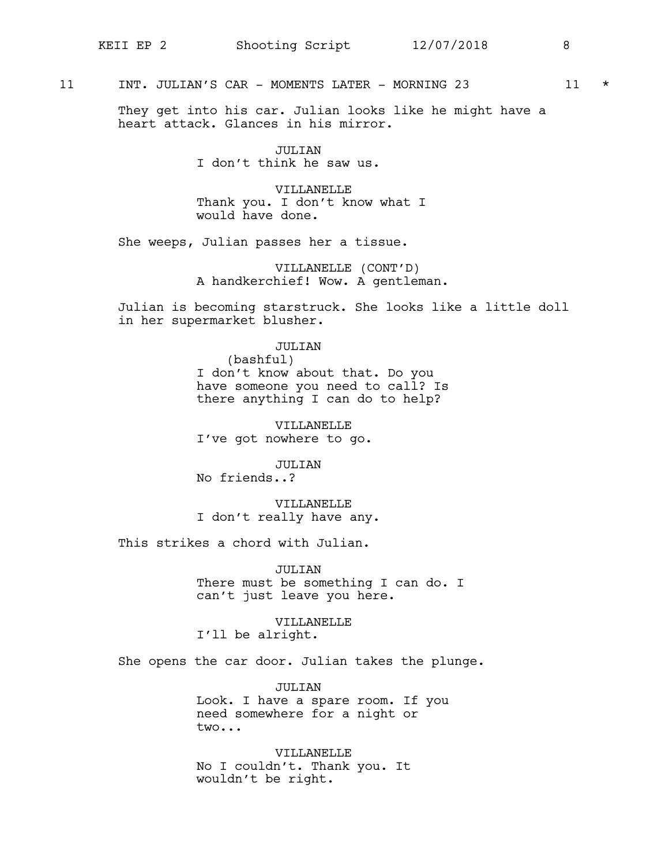### 11 INT. JULIAN'S CAR - MOMENTS LATER - MORNING 23 11 \*

They get into his car. Julian looks like he might have a heart attack. Glances in his mirror.

> JULIAN I don't think he saw us.

VILLANELLE Thank you. I don't know what I would have done.

She weeps, Julian passes her a tissue.

VILLANELLE (CONT'D) A handkerchief! Wow. A gentleman.

Julian is becoming starstruck. She looks like a little doll in her supermarket blusher.

### JULIAN

(bashful) I don't know about that. Do you have someone you need to call? Is there anything I can do to help?

VILLANELLE I've got nowhere to go.

JULIAN

No friends..?

VILLANELLE I don't really have any.

This strikes a chord with Julian.

JULIAN There must be something I can do. I can't just leave you here.

VILLANELLE I'll be alright.

She opens the car door. Julian takes the plunge.

JULIAN Look. I have a spare room. If you need somewhere for a night or two...

VILLANELLE No I couldn't. Thank you. It wouldn't be right.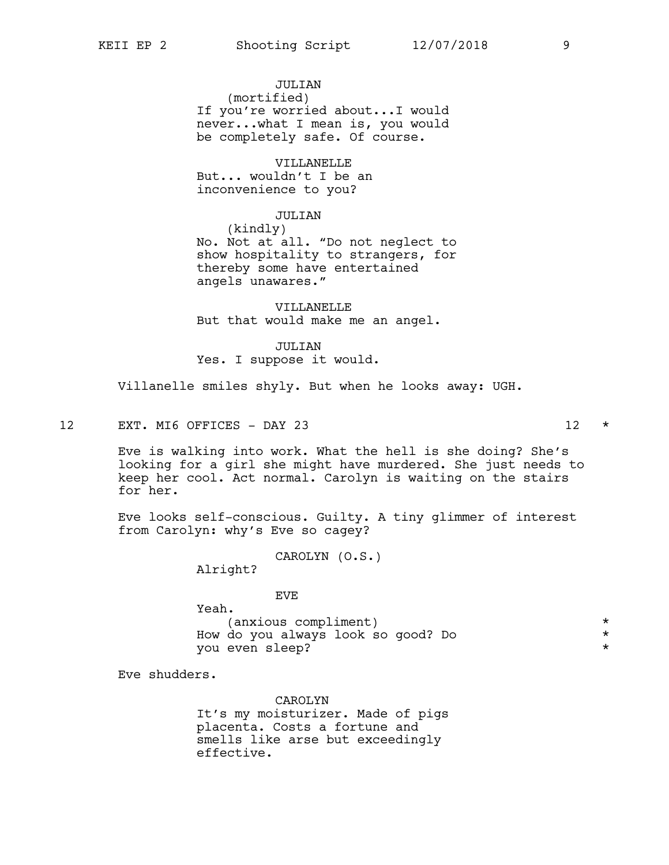JULTAN (mortified) If you're worried about...I would never...what I mean is, you would be completely safe. Of course.

VILLANELLE But... wouldn't I be an inconvenience to you?

### JULIAN

(kindly) No. Not at all. "Do not neglect to show hospitality to strangers, for thereby some have entertained angels unawares."

VILLANELLE But that would make me an angel.

JULIAN

Yes. I suppose it would.

Villanelle smiles shyly. But when he looks away: UGH.

12 EXT. MI6 OFFICES - DAY 23 12 \*

Eve is walking into work. What the hell is she doing? She's looking for a girl she might have murdered. She just needs to keep her cool. Act normal. Carolyn is waiting on the stairs for her.

Eve looks self-conscious. Guilty. A tiny glimmer of interest from Carolyn: why's Eve so cagey?

CAROLYN (O.S.)

Alright?

EVE

Yeah. (anxious compliment) \* How do you always look so good? Do \* you even sleep?

Eve shudders.

CAROLYN It's my moisturizer. Made of pigs placenta. Costs a fortune and smells like arse but exceedingly effective.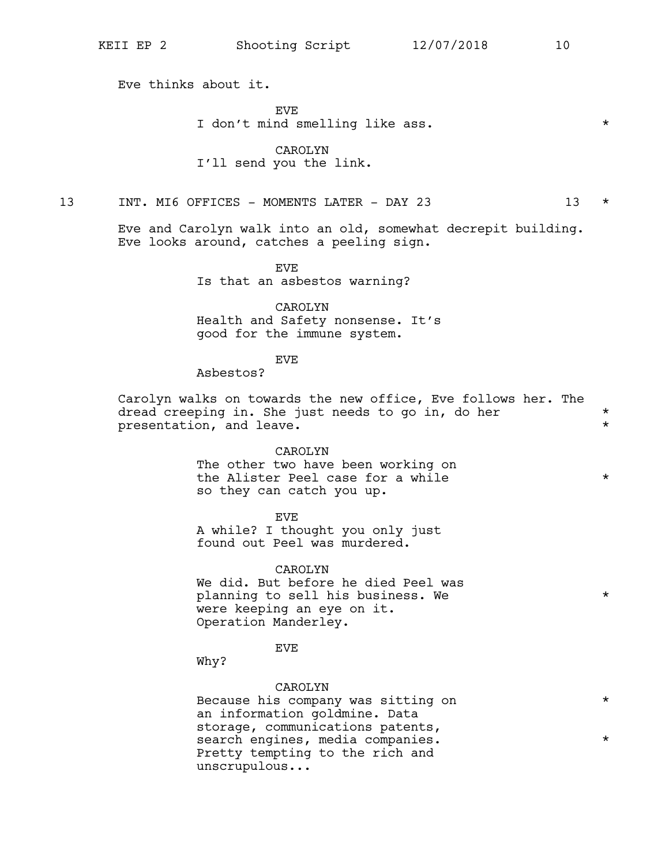Eve thinks about it.

**EVE** 

I don't mind smelling like ass.  $*$ 

### CAROLYN I'll send you the link.

13 INT. MI6 OFFICES - MOMENTS LATER - DAY 23 13 \*

Eve and Carolyn walk into an old, somewhat decrepit building. Eve looks around, catches a peeling sign.

**EVE** 

Is that an asbestos warning?

CAROLYN Health and Safety nonsense. It's good for the immune system.

#### EVE

Asbestos?

Carolyn walks on towards the new office, Eve follows her. The dread creeping in. She just needs to go in, do her  $*$ presentation, and leave.  $*$ 

#### CAROLYN

The other two have been working on the Alister Peel case for a while  $*$ so they can catch you up.

EVE

A while? I thought you only just found out Peel was murdered.

### CAROLYN

We did. But before he died Peel was planning to sell his business. We  $*$ were keeping an eye on it. Operation Manderley.

### EVE

Why?

### CAROLYN

Because his company was sitting on  $*$ an information goldmine. Data storage, communications patents, search engines, media companies.  $*$ Pretty tempting to the rich and unscrupulous...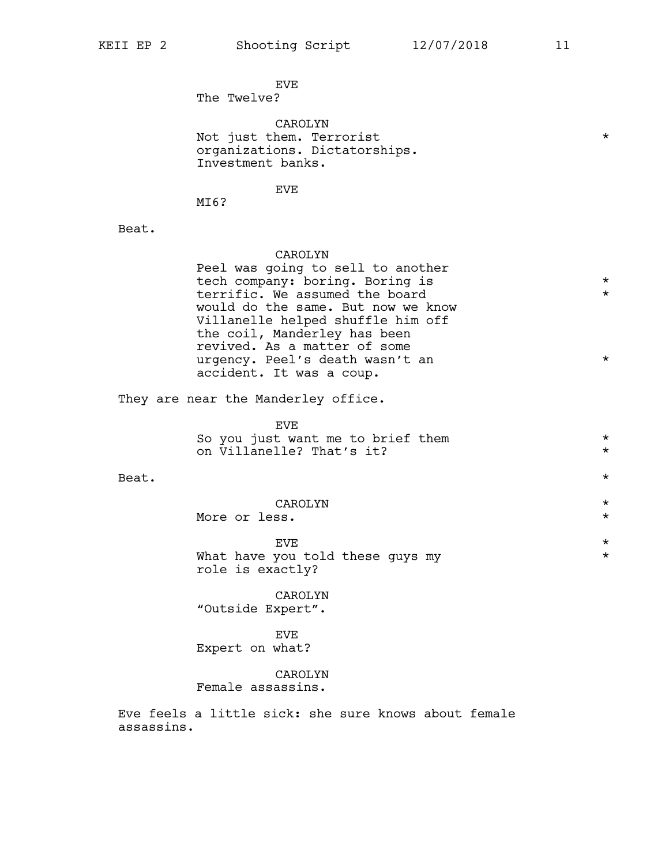**EVE** The Twelve?

CAROLYN Not just them. Terrorist  $\star$ organizations. Dictatorships. Investment banks.

EVE

MI6?

Beat.

### CAROLYN

Peel was going to sell to another tech company: boring. Boring is  $*$ terrific. We assumed the board  $*$ would do the same. But now we know Villanelle helped shuffle him off the coil, Manderley has been revived. As a matter of some urgency. Peel's death wasn't an \* accident. It was a coup.

They are near the Manderley office.

EVE So you just want me to brief them  $\star$ <br>on Villanelle? That's it? on Villanelle? That's it? \*

Beat.  $\star$ 

CAROLYN \* More or less.  $\star$ 

 $EVE$   $\star$ What have you told these guys my  $*$ role is exactly?

CAROLYN "Outside Expert".

EVE Expert on what?

CAROLYN

Female assassins.

Eve feels a little sick: she sure knows about female assassins.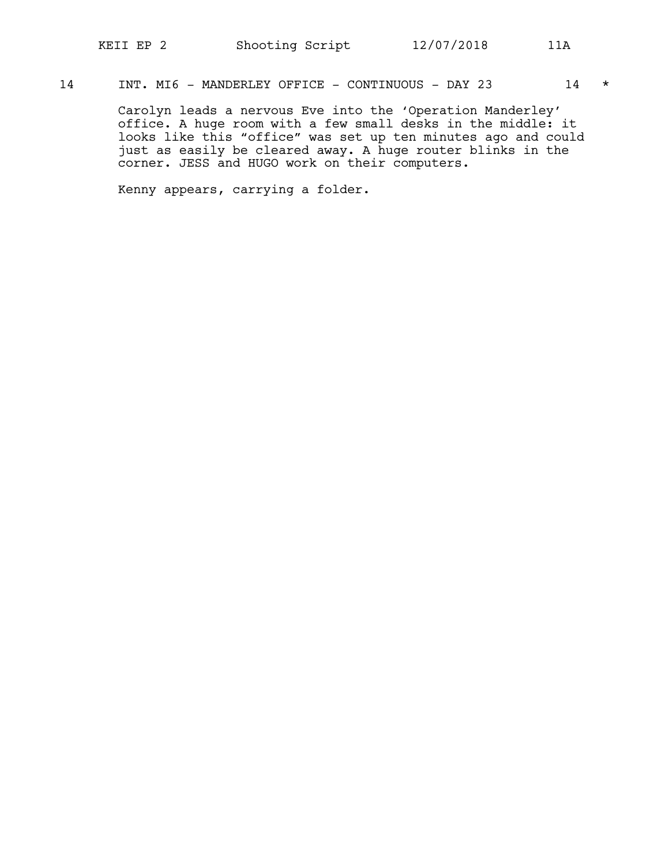### 14 INT. MI6 - MANDERLEY OFFICE - CONTINUOUS - DAY 23 14 \*

Carolyn leads a nervous Eve into the 'Operation Manderley' office. A huge room with a few small desks in the middle: it looks like this "office" was set up ten minutes ago and could just as easily be cleared away. A huge router blinks in the corner. JESS and HUGO work on their computers.

Kenny appears, carrying a folder.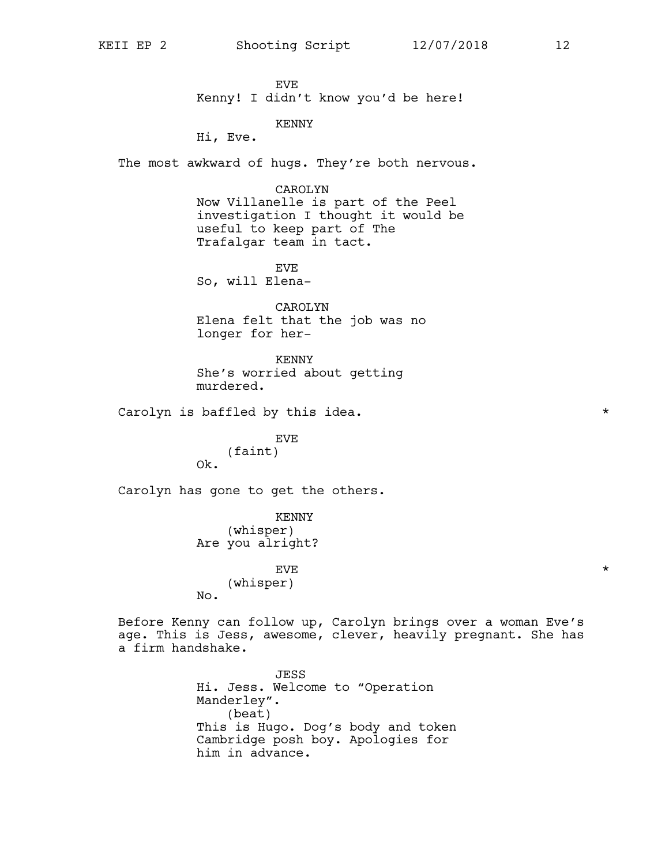EVE Kenny! I didn't know you'd be here!

KENNY

Hi, Eve.

The most awkward of hugs. They're both nervous.

### CAROLYN

Now Villanelle is part of the Peel investigation I thought it would be useful to keep part of The Trafalgar team in tact.

EVE So, will Elena-

CAROLYN Elena felt that the job was no longer for her-

KENNY She's worried about getting murdered.

Carolyn is baffled by this idea.  $\star$ 

EVE (faint) Ok.

Carolyn has gone to get the others.

KENNY (whisper) Are you alright?

 $EVE$   $\star$ (whisper) No.

Before Kenny can follow up, Carolyn brings over a woman Eve's age. This is Jess, awesome, clever, heavily pregnant. She has a firm handshake.

> JESS Hi. Jess. Welcome to "Operation Manderley". (beat) This is Hugo. Dog's body and token Cambridge posh boy. Apologies for him in advance.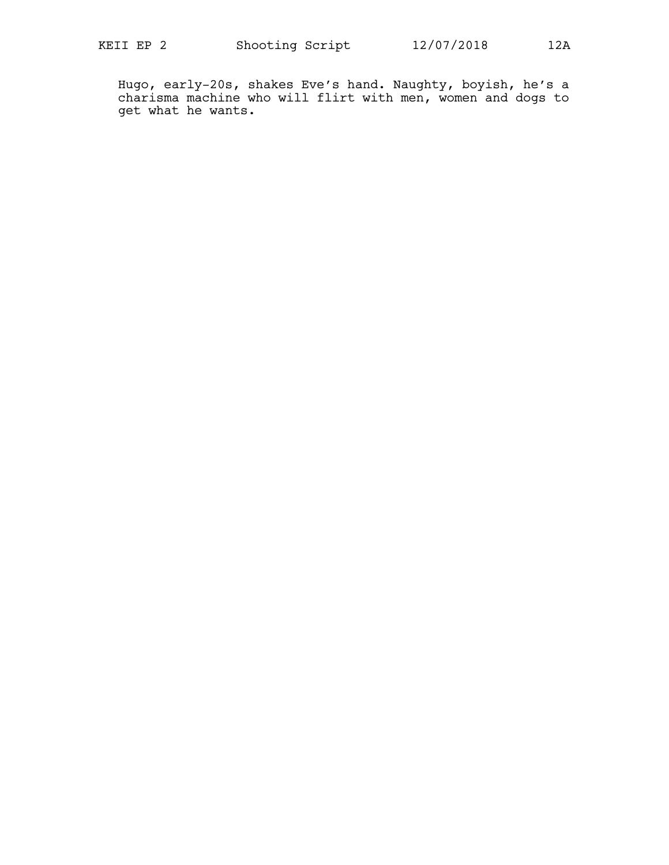Hugo, early-20s, shakes Eve's hand. Naughty, boyish, he's a charisma machine who will flirt with men, women and dogs to get what he wants.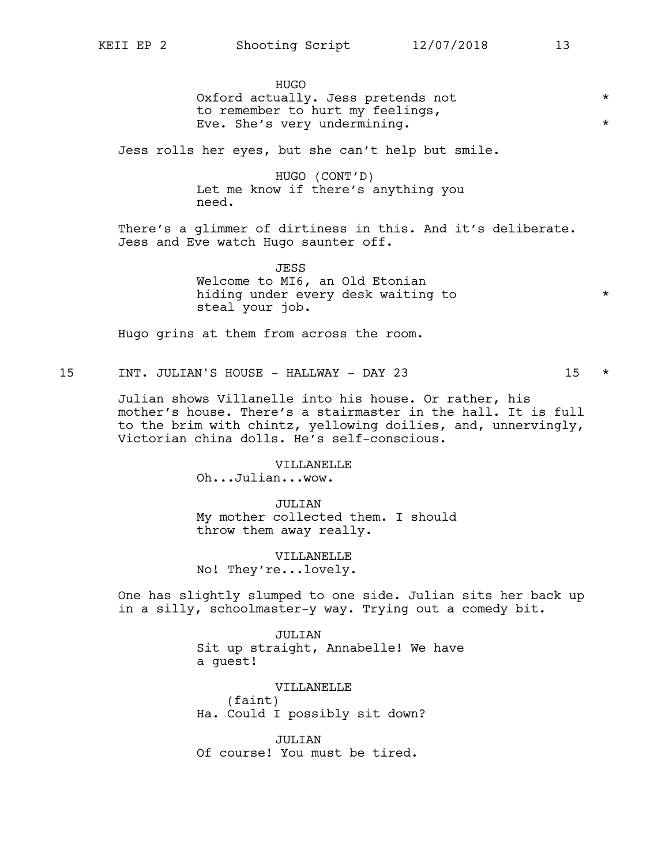HUGO Oxford actually. Jess pretends not \* to remember to hurt my feelings, Eve. She's very undermining.  $\star$ 

Jess rolls her eyes, but she can't help but smile.

HUGO (CONT'D) Let me know if there's anything you need.

There's a glimmer of dirtiness in this. And it's deliberate. Jess and Eve watch Hugo saunter off.

> JESS Welcome to MI6, an Old Etonian hiding under every desk waiting to  $*$ steal your job.

Hugo grins at them from across the room.

15 INT. JULIAN'S HOUSE - HALLWAY - DAY 23 15 \*

Julian shows Villanelle into his house. Or rather, his mother's house. There's a stairmaster in the hall. It is full to the brim with chintz, yellowing doilies, and, unnervingly, Victorian china dolls. He's self-conscious.

> VILLANELLE Oh...Julian...wow.

JULIAN My mother collected them. I should throw them away really.

VILLANELLE No! They're...lovely.

One has slightly slumped to one side. Julian sits her back up in a silly, schoolmaster-y way. Trying out a comedy bit.

> JULIAN Sit up straight, Annabelle! We have a guest!

VILLANELLE (faint) Ha. Could I possibly sit down?

JULIAN Of course! You must be tired.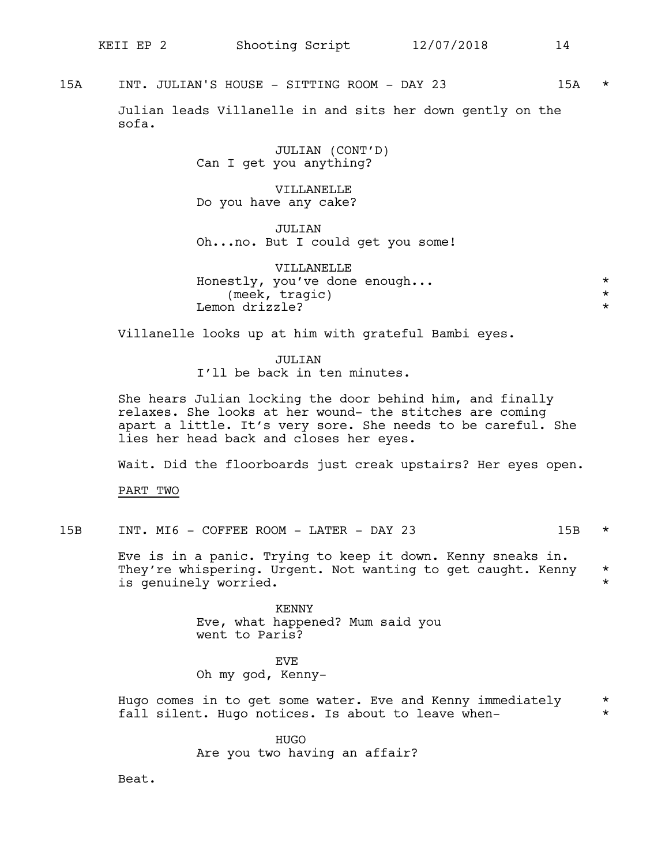15A INT. JULIAN'S HOUSE - SITTING ROOM - DAY 23 15A \*

Julian leads Villanelle in and sits her down gently on the sofa.

> JULIAN (CONT'D) Can I get you anything?

VILLANELLE Do you have any cake?

JULIAN Oh...no. But I could get you some!

VILLANELLE Honestly, you've done enough... \* (meek, tragic) \* Lemon drizzle?  $\star$ 

Villanelle looks up at him with grateful Bambi eyes.

JULIAN I'll be back in ten minutes.

She hears Julian locking the door behind him, and finally relaxes. She looks at her wound- the stitches are coming apart a little. It's very sore. She needs to be careful. She lies her head back and closes her eyes.

Wait. Did the floorboards just creak upstairs? Her eyes open.

PART TWO

15B INT. MI6 - COFFEE ROOM - LATER - DAY 23 15B \*

Eve is in a panic. Trying to keep it down. Kenny sneaks in. They're whispering. Urgent. Not wanting to get caught. Kenny \* is genuinely worried.

> KENNY Eve, what happened? Mum said you went to Paris?

**EVE** Oh my god, Kenny-

Hugo comes in to get some water. Eve and Kenny immediately \* fall silent. Hugo notices. Is about to leave when-

> HUGO Are you two having an affair?

Beat.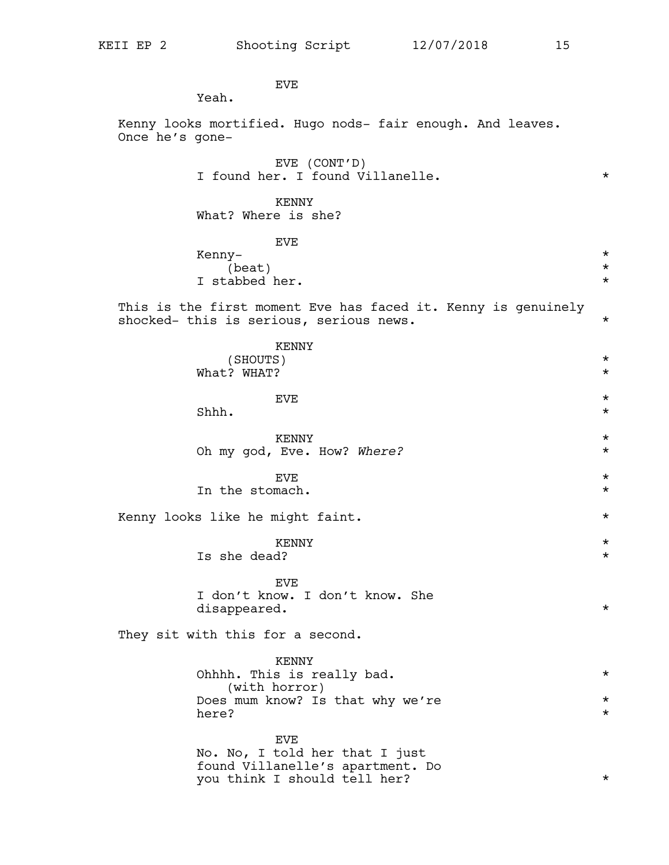EVE

Yeah.

Kenny looks mortified. Hugo nods- fair enough. And leaves. Once he's gone-

|  |  | EVE (CONT'D) |                                  |  |
|--|--|--------------|----------------------------------|--|
|  |  |              | I found her. I found Villanelle. |  |

KENNY What? Where is she?

EVE

Kenny- $\star$  (beat)  $\star$ (beat)  $\star$ <br>abbed her.  $\star$ I stabbed her.

This is the first moment Eve has faced it. Kenny is genuinely shocked- this is serious, serious news.

| EVE<br>Shhh.<br><b>KENNY</b><br>Oh my god, Eve. How? Where?                                               | $^\star$<br>$^\star$<br>$^\star$<br>$\star$ |
|-----------------------------------------------------------------------------------------------------------|---------------------------------------------|
|                                                                                                           |                                             |
|                                                                                                           |                                             |
| <b>EVE</b><br>In the stomach.                                                                             | $^\star$<br>$\star$                         |
| Kenny looks like he might faint.                                                                          | $\star$                                     |
| <b>KENNY</b><br>Is she dead?                                                                              | $^\star$<br>$\star$                         |
| <b>EVE</b><br>I don't know. I don't know. She<br>disappeared.                                             | $^\star$                                    |
| They sit with this for a second.                                                                          |                                             |
| <b>KENNY</b><br>Ohhhh. This is really bad.<br>(with horror)                                               | $\star$                                     |
| Does mum know? Is that why we're<br>here?                                                                 | $\star$<br>$\star$                          |
| EVE<br>No. No, I told her that I just<br>found Villanelle's apartment. Do<br>you think I should tell her? | $^\star$                                    |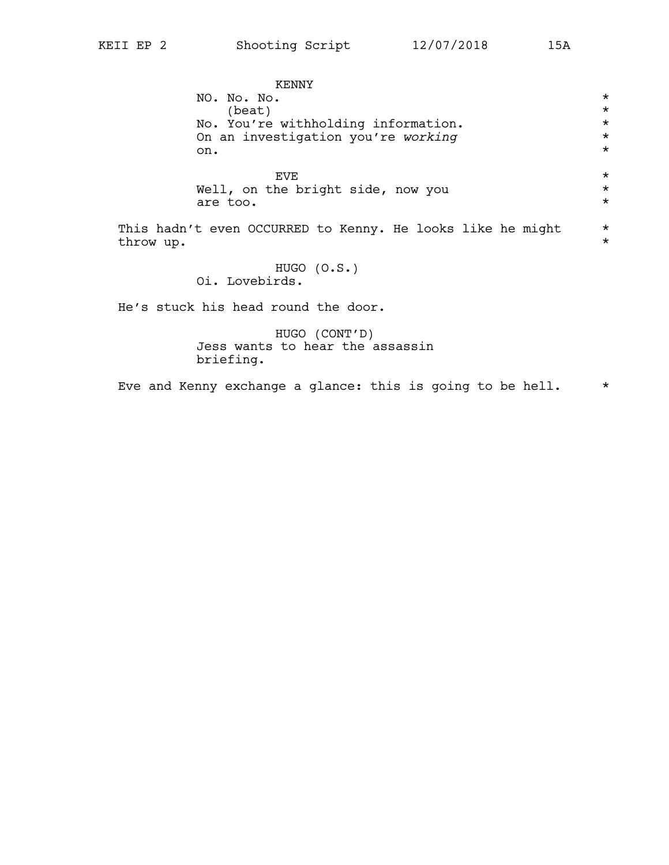KENNY NO. No.  $\overline{N}$   $\overline{N}$   $\overline{N}$   $\overline{N}$   $\overline{N}$   $\overline{N}$   $\overline{N}$   $\overline{N}$   $\overline{N}$   $\overline{N}$   $\overline{N}$   $\overline{N}$   $\overline{N}$   $\overline{N}$   $\overline{N}$   $\overline{N}$   $\overline{N}$   $\overline{N}$   $\overline{N}$   $\overline{N}$   $\overline{N}$   $\overline{N}$   $\overline{N}$   $\overline{N$  $(beat)$ No. You're withholding information. \* On an investigation you're *working* \* on.  $\star$  $EVE$   $\star$ Well, on the bright side, now you \* are too.  $\star$ This hadn't even OCCURRED to Kenny. He looks like he might \* throw up. \* HUGO (O.S.) Oi. Lovebirds. He's stuck his head round the door.

HUGO (CONT'D) Jess wants to hear the assassin briefing.

Eve and Kenny exchange a glance: this is going to be hell.  $*$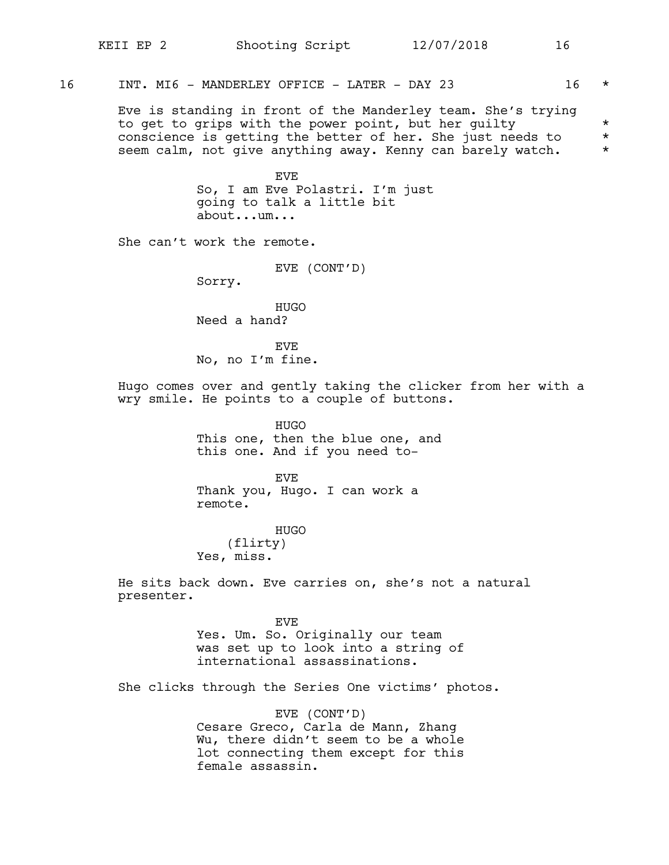16 INT. MI6 - MANDERLEY OFFICE - LATER - DAY 23 16 \*

Eve is standing in front of the Manderley team. She's trying to get to grips with the power point, but her guilty \*\* conscience is getting the better of her. She just needs to \* seem calm, not give anything away. Kenny can barely watch. \*

> EVE So, I am Eve Polastri. I'm just going to talk a little bit about...um...

She can't work the remote.

EVE (CONT'D)

Sorry.

HUGO Need a hand?

**EVE** No, no I'm fine.

Hugo comes over and gently taking the clicker from her with a wry smile. He points to a couple of buttons.

> HUGO This one, then the blue one, and this one. And if you need to-

EVE Thank you, Hugo. I can work a remote.

HUGO (flirty) Yes, miss.

He sits back down. Eve carries on, she's not a natural presenter.

> EVE Yes. Um. So. Originally our team was set up to look into a string of international assassinations.

She clicks through the Series One victims' photos.

EVE (CONT'D) Cesare Greco, Carla de Mann, Zhang Wu, there didn't seem to be a whole lot connecting them except for this female assassin.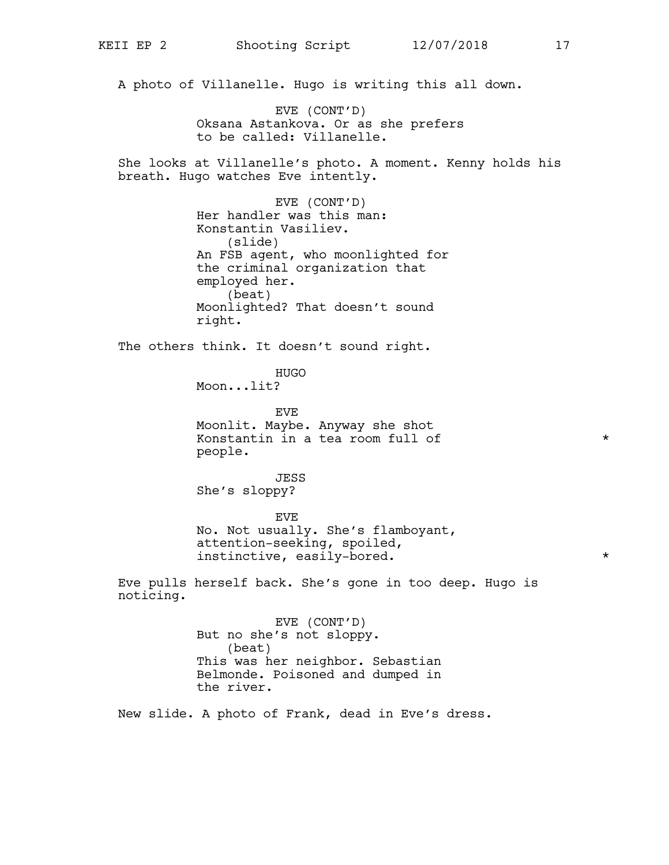A photo of Villanelle. Hugo is writing this all down.

EVE (CONT'D) Oksana Astankova. Or as she prefers to be called: Villanelle.

She looks at Villanelle's photo. A moment. Kenny holds his breath. Hugo watches Eve intently.

> EVE (CONT'D) Her handler was this man: Konstantin Vasiliev. (slide) An FSB agent, who moonlighted for the criminal organization that employed her. (beat) Moonlighted? That doesn't sound right.

The others think. It doesn't sound right.

HUGO Moon...lit?

EVE Moonlit. Maybe. Anyway she shot Konstantin in a tea room full of  $*$ people.

JESS She's sloppy?

EVE No. Not usually. She's flamboyant, attention-seeking, spoiled, instinctive, easily-bored. \*

Eve pulls herself back. She's gone in too deep. Hugo is noticing.

> EVE (CONT'D) But no she's not sloppy. (beat) This was her neighbor. Sebastian Belmonde. Poisoned and dumped in the river.

New slide. A photo of Frank, dead in Eve's dress.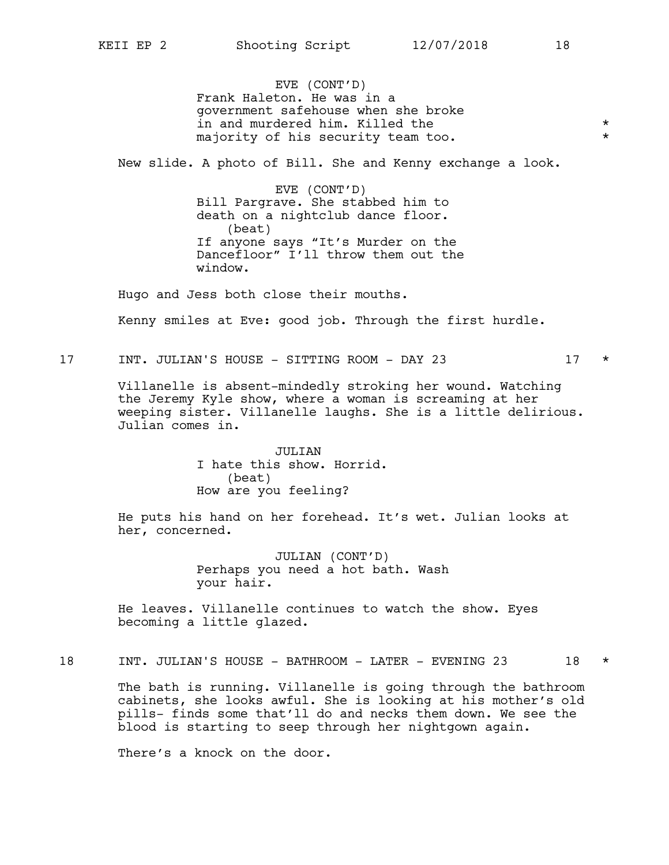EVE (CONT'D) Frank Haleton. He was in a government safehouse when she broke in and murdered him. Killed the  $\star$ majority of his security team too. \*

New slide. A photo of Bill. She and Kenny exchange a look.

EVE (CONT'D) Bill Pargrave. She stabbed him to death on a nightclub dance floor. (beat) If anyone says "It's Murder on the Dancefloor" I'll throw them out the window.

Hugo and Jess both close their mouths.

Kenny smiles at Eve: good job. Through the first hurdle.

17 INT. JULIAN'S HOUSE - SITTING ROOM - DAY 23 17 \*

Villanelle is absent-mindedly stroking her wound. Watching the Jeremy Kyle show, where a woman is screaming at her weeping sister. Villanelle laughs. She is a little delirious. Julian comes in.

> JULIAN I hate this show. Horrid. (beat) How are you feeling?

He puts his hand on her forehead. It's wet. Julian looks at her, concerned.

> JULIAN (CONT'D) Perhaps you need a hot bath. Wash your hair.

He leaves. Villanelle continues to watch the show. Eyes becoming a little glazed.

18 INT. JULIAN'S HOUSE - BATHROOM - LATER - EVENING 23 18 \*

The bath is running. Villanelle is going through the bathroom cabinets, she looks awful. She is looking at his mother's old pills- finds some that'll do and necks them down. We see the blood is starting to seep through her nightgown again.

There's a knock on the door.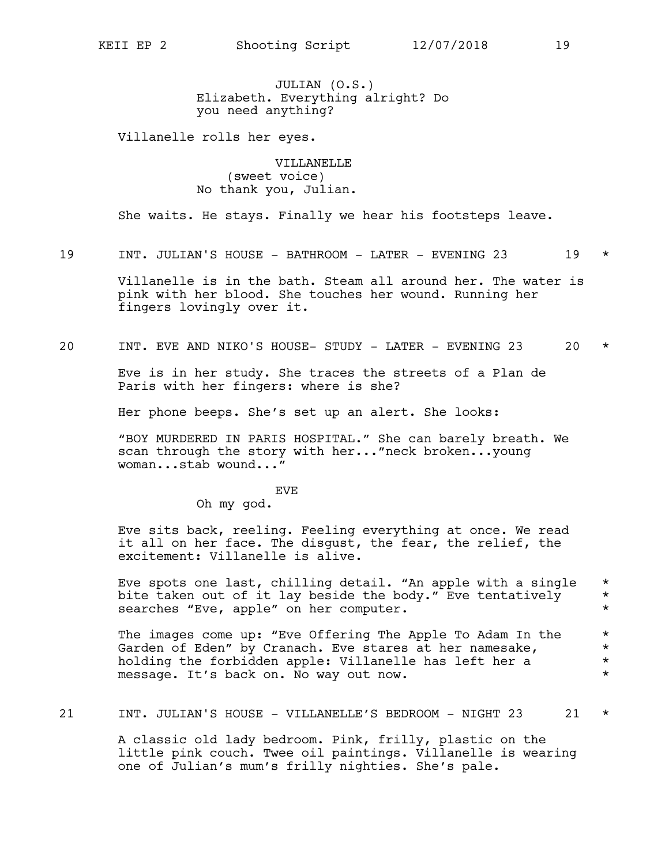JULIAN (O.S.) Elizabeth. Everything alright? Do you need anything?

Villanelle rolls her eyes.

VILLANELLE (sweet voice) No thank you, Julian.

She waits. He stays. Finally we hear his footsteps leave.

19 INT. JULIAN'S HOUSE - BATHROOM - LATER - EVENING 23 19 \*

Villanelle is in the bath. Steam all around her. The water is pink with her blood. She touches her wound. Running her fingers lovingly over it.

20 INT. EVE AND NIKO'S HOUSE- STUDY - LATER - EVENING 23 20 \*

Eve is in her study. She traces the streets of a Plan de Paris with her fingers: where is she?

Her phone beeps. She's set up an alert. She looks:

"BOY MURDERED IN PARIS HOSPITAL." She can barely breath. We scan through the story with her..."neck broken...young woman...stab wound..."

EVE

Oh my god.

Eve sits back, reeling. Feeling everything at once. We read it all on her face. The disgust, the fear, the relief, the excitement: Villanelle is alive.

Eve spots one last, chilling detail. "An apple with a single \* bite taken out of it lay beside the body." Eve tentatively \* searches "Eve, apple" on her computer.  $\star$ 

The images come up: "Eve Offering The Apple To Adam In the  $*$ Garden of Eden" by Cranach. Eve stares at her namesake,  $*$ holding the forbidden apple: Villanelle has left her a  $*$  message. It's back on. No way out now. message. It's back on. No way out now.

21 INT. JULIAN'S HOUSE - VILLANELLE'S BEDROOM - NIGHT 23 21 \*

A classic old lady bedroom. Pink, frilly, plastic on the little pink couch. Twee oil paintings. Villanelle is wearing one of Julian's mum's frilly nighties. She's pale.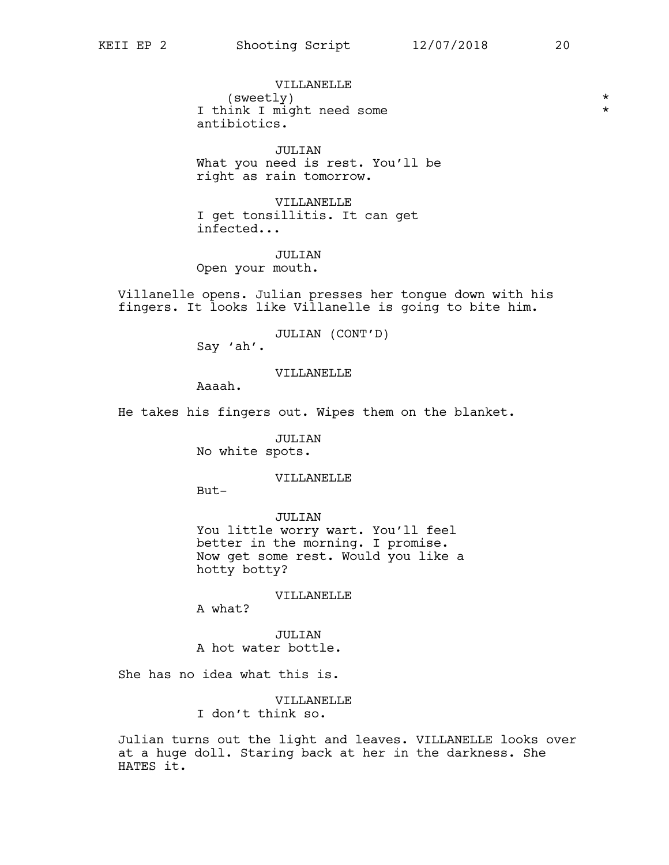VILLANELLE (sweetly) \* I think I might need some  $*$ antibiotics.

JULIAN What you need is rest. You'll be right as rain tomorrow.

VILLANELLE I get tonsillitis. It can get infected...

JULTAN Open your mouth.

Villanelle opens. Julian presses her tongue down with his fingers. It looks like Villanelle is going to bite him.

JULIAN (CONT'D)

Say 'ah'.

VILLANELLE

Aaaah.

He takes his fingers out. Wipes them on the blanket.

JULIAN No white spots.

### VILLANELLE

But-

JULIAN You little worry wart. You'll feel better in the morning. I promise. Now get some rest. Would you like a hotty botty?

VILLANELLE

A what?

JULIAN A hot water bottle.

She has no idea what this is.

VILLANELLE I don't think so.

Julian turns out the light and leaves. VILLANELLE looks over at a huge doll. Staring back at her in the darkness. She HATES it.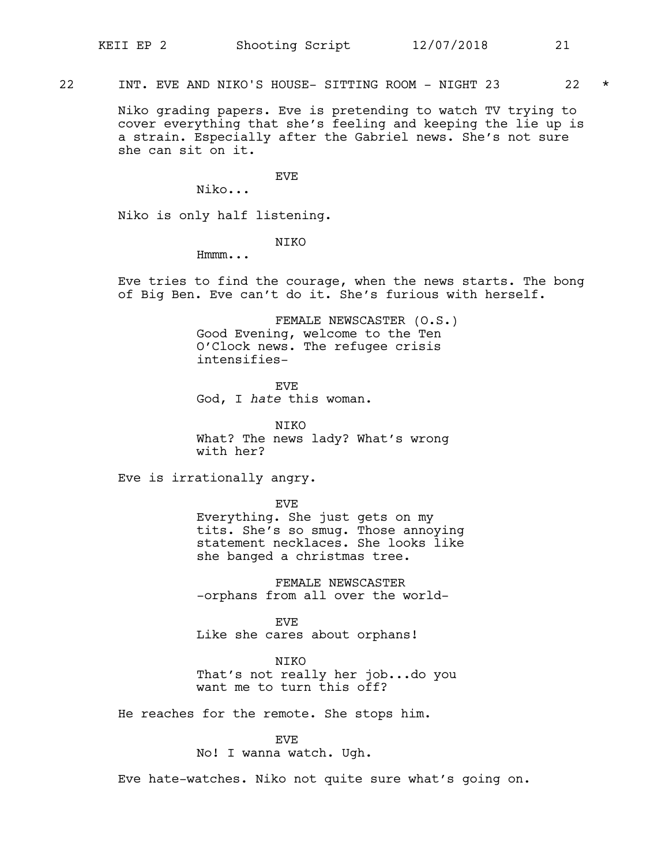22 INT. EVE AND NIKO'S HOUSE- SITTING ROOM - NIGHT 23 22 \*

Niko grading papers. Eve is pretending to watch TV trying to cover everything that she's feeling and keeping the lie up is a strain. Especially after the Gabriel news. She's not sure she can sit on it.

EVE

Niko...

Niko is only half listening.

NIKO

Hmmm...

Eve tries to find the courage, when the news starts. The bong of Big Ben. Eve can't do it. She's furious with herself.

> FEMALE NEWSCASTER (O.S.) Good Evening, welcome to the Ten O'Clock news. The refugee crisis intensifies-

EVE God, I *hate* this woman.

NIKO What? The news lady? What's wrong with her?

Eve is irrationally angry.

EVE

Everything. She just gets on my tits. She's so smug. Those annoying statement necklaces. She looks like she banged a christmas tree.

FEMALE NEWSCASTER -orphans from all over the world-

EVE Like she cares about orphans!

NIKO

That's not really her job...do you want me to turn this off?

He reaches for the remote. She stops him.

EVE

No! I wanna watch. Ugh.

Eve hate-watches. Niko not quite sure what's going on.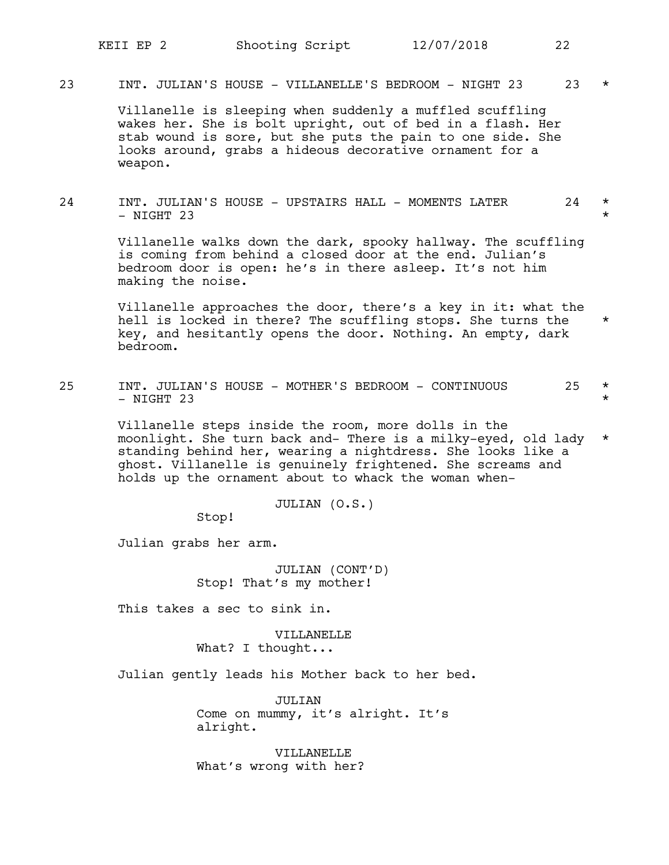23 INT. JULIAN'S HOUSE - VILLANELLE'S BEDROOM - NIGHT 23 23 \*

Villanelle is sleeping when suddenly a muffled scuffling wakes her. She is bolt upright, out of bed in a flash. Her stab wound is sore, but she puts the pain to one side. She looks around, grabs a hideous decorative ornament for a weapon.

24 INT. JULIAN'S HOUSE - UPSTAIRS HALL - MOMENTS LATER 24 \*  $-$  NIGHT 23

> Villanelle walks down the dark, spooky hallway. The scuffling is coming from behind a closed door at the end. Julian's bedroom door is open: he's in there asleep. It's not him making the noise.

Villanelle approaches the door, there's a key in it: what the hell is locked in there? The scuffling stops. She turns the \* key, and hesitantly opens the door. Nothing. An empty, dark bedroom.

25 INT. JULIAN'S HOUSE - MOTHER'S BEDROOM - CONTINUOUS 25 \*  $-$  NIGHT 23  $+$ 

> Villanelle steps inside the room, more dolls in the moonlight. She turn back and- There is a milky-eyed, old lady \* standing behind her, wearing a nightdress. She looks like a ghost. Villanelle is genuinely frightened. She screams and holds up the ornament about to whack the woman when-

> > JULIAN (O.S.)

Stop!

Julian grabs her arm.

JULIAN (CONT'D) Stop! That's my mother!

This takes a sec to sink in.

VILLANELLE What? I thought...

Julian gently leads his Mother back to her bed.

JULIAN Come on mummy, it's alright. It's alright.

VILLANELLE What's wrong with her?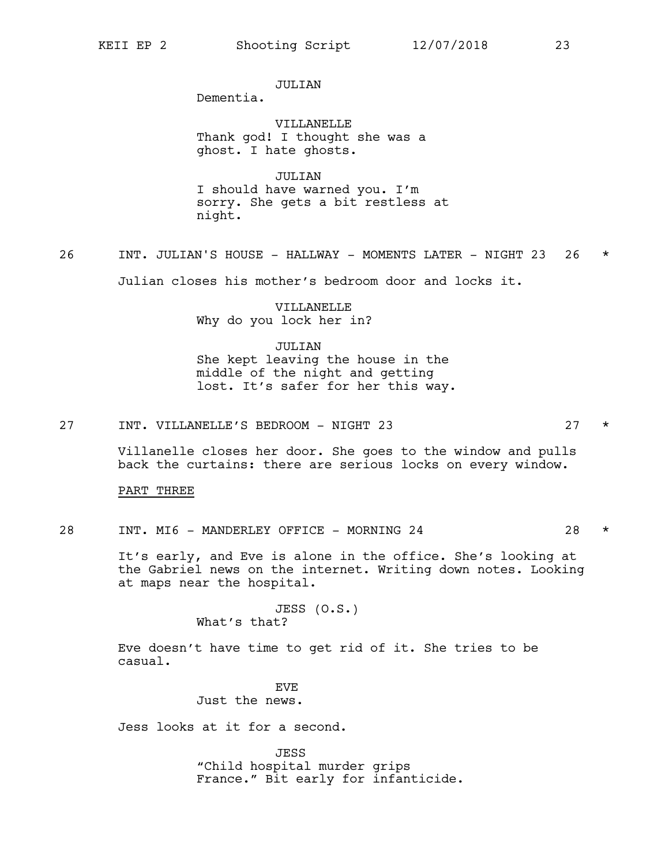**JULIAN** 

Dementia.

VILLANELLE Thank god! I thought she was a ghost. I hate ghosts.

JULIAN I should have warned you. I'm sorry. She gets a bit restless at night.

26 INT. JULIAN'S HOUSE - HALLWAY - MOMENTS LATER - NIGHT 23 26 \*

Julian closes his mother's bedroom door and locks it.

VILLANELLE Why do you lock her in?

JULIAN She kept leaving the house in the middle of the night and getting lost. It's safer for her this way.

27 INT. VILLANELLE'S BEDROOM - NIGHT 23 27 \*

Villanelle closes her door. She goes to the window and pulls back the curtains: there are serious locks on every window.

PART THREE

28 INT. MI6 - MANDERLEY OFFICE - MORNING 24 28 \*

It's early, and Eve is alone in the office. She's looking at the Gabriel news on the internet. Writing down notes. Looking at maps near the hospital.

> JESS (O.S.) What's that?

Eve doesn't have time to get rid of it. She tries to be casual.

> **EVE** Just the news.

Jess looks at it for a second.

JESS "Child hospital murder grips France." Bit early for infanticide.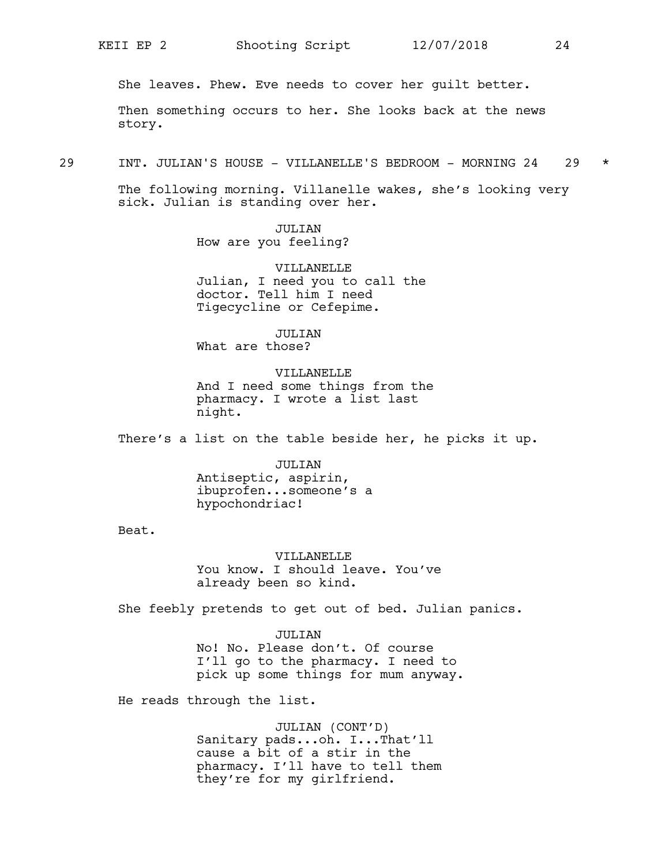She leaves. Phew. Eve needs to cover her guilt better.

Then something occurs to her. She looks back at the news story.

29 INT. JULIAN'S HOUSE - VILLANELLE'S BEDROOM - MORNING 24 29 \*

The following morning. Villanelle wakes, she's looking very sick. Julian is standing over her.

> JULIAN How are you feeling?

VILLANELLE Julian, I need you to call the doctor. Tell him I need Tigecycline or Cefepime.

JULIAN What are those?

**VILLANELLE** And I need some things from the pharmacy. I wrote a list last night.

There's a list on the table beside her, he picks it up.

JULIAN Antiseptic, aspirin, ibuprofen...someone's a hypochondriac!

Beat.

VILLANELLE You know. I should leave. You've already been so kind.

She feebly pretends to get out of bed. Julian panics.

JULTAN No! No. Please don't. Of course I'll go to the pharmacy. I need to pick up some things for mum anyway.

He reads through the list.

JULIAN (CONT'D) Sanitary pads...oh. I...That'll cause a bit of a stir in the pharmacy. I'll have to tell them they're for my girlfriend.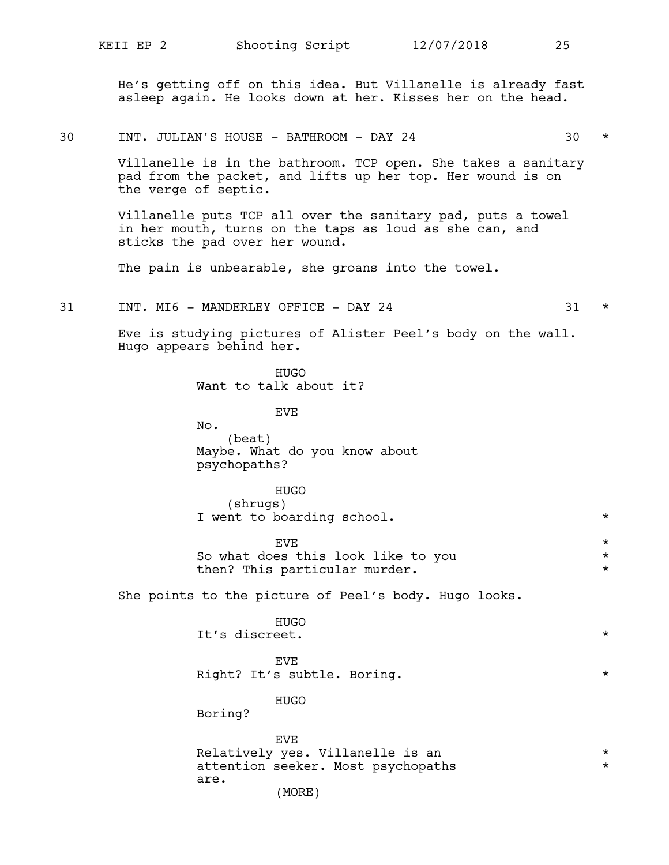He's getting off on this idea. But Villanelle is already fast asleep again. He looks down at her. Kisses her on the head.

30 INT. JULIAN'S HOUSE - BATHROOM - DAY 24 30 \*

Villanelle is in the bathroom. TCP open. She takes a sanitary pad from the packet, and lifts up her top. Her wound is on the verge of septic.

Villanelle puts TCP all over the sanitary pad, puts a towel in her mouth, turns on the taps as loud as she can, and sticks the pad over her wound.

The pain is unbearable, she groans into the towel.

31 INT. MI6 - MANDERLEY OFFICE - DAY 24 31 \*

Eve is studying pictures of Alister Peel's body on the wall. Hugo appears behind her.

HUGO

Want to talk about it?

EVE No. (beat) Maybe. What do you know about psychopaths?

HUGO (shrugs) I went to boarding school.  $*$ 

 $EVE$   $\star$ So what does this look like to you  $*$ then? This particular murder.  $*$ 

She points to the picture of Peel's body. Hugo looks.

| <b>HUGO</b>    |         |
|----------------|---------|
| It's discreet. | $\star$ |

EVE Right? It's subtle. Boring.  $\star$ 

HUGO

Boring?

EVE Relatively yes. Villanelle is an  $*$ <br>attention seeker Most psychopaths attention seeker. Most psychopaths are.

(MORE)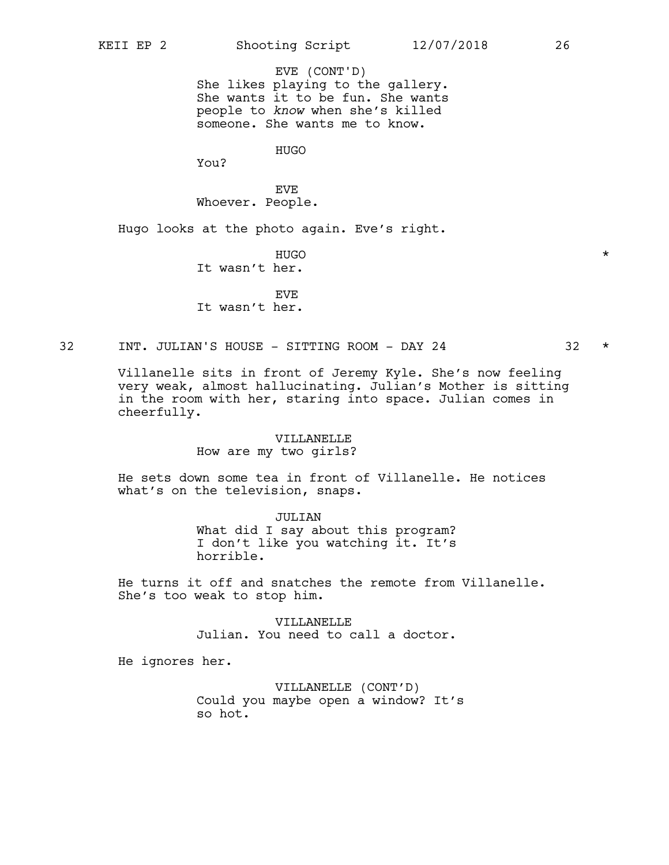She likes playing to the gallery. She wants it to be fun. She wants people to *know* when she's killed someone. She wants me to know. EVE (CONT'D)

HUGO

You?

EVE Whoever. People.

Hugo looks at the photo again. Eve's right.

HUGO \* It wasn't her.

EVE It wasn't her.

32 INT. JULIAN'S HOUSE - SITTING ROOM - DAY 24 32 \*

Villanelle sits in front of Jeremy Kyle. She's now feeling very weak, almost hallucinating. Julian's Mother is sitting in the room with her, staring into space. Julian comes in cheerfully.

### VILLANELLE

How are my two girls?

He sets down some tea in front of Villanelle. He notices what's on the television, snaps.

> JULIAN What did I say about this program? I don't like you watching it. It's horrible.

He turns it off and snatches the remote from Villanelle. She's too weak to stop him.

> VILLANELLE Julian. You need to call a doctor.

He ignores her.

VILLANELLE (CONT'D) Could you maybe open a window? It's so hot.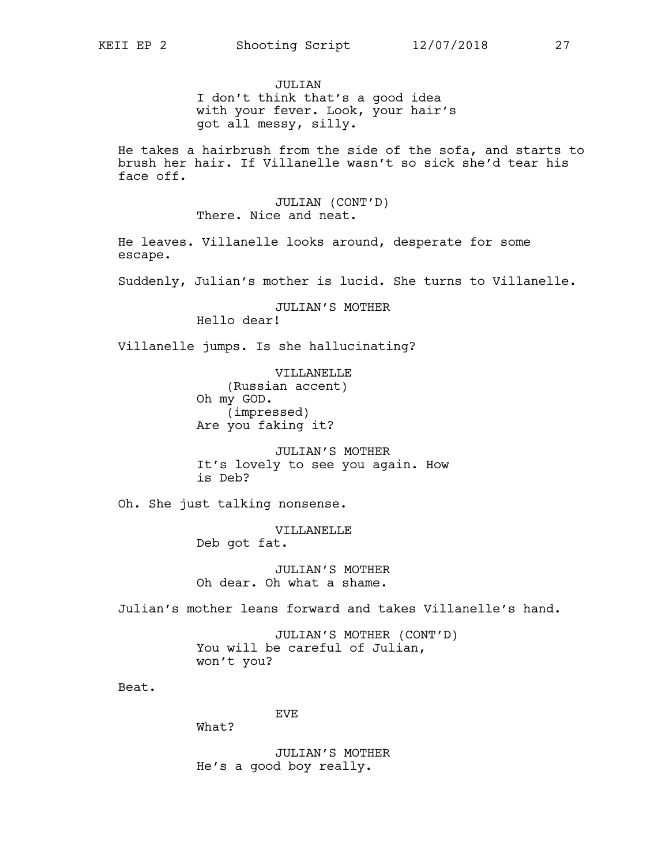JULTAN I don't think that's a good idea with your fever. Look, your hair's got all messy, silly.

He takes a hairbrush from the side of the sofa, and starts to brush her hair. If Villanelle wasn't so sick she'd tear his face off.

> JULIAN (CONT'D) There. Nice and neat.

He leaves. Villanelle looks around, desperate for some escape.

Suddenly, Julian's mother is lucid. She turns to Villanelle.

JULIAN'S MOTHER Hello dear!

Villanelle jumps. Is she hallucinating?

VILLANELLE (Russian accent) Oh my GOD. (impressed) Are you faking it?

JULIAN'S MOTHER It's lovely to see you again. How is Deb?

Oh. She just talking nonsense.

VILLANELLE Deb got fat.

JULIAN'S MOTHER Oh dear. Oh what a shame.

Julian's mother leans forward and takes Villanelle's hand.

JULIAN'S MOTHER (CONT'D) You will be careful of Julian, won't you?

Beat.

EVE

What?

JULIAN'S MOTHER He's a good boy really.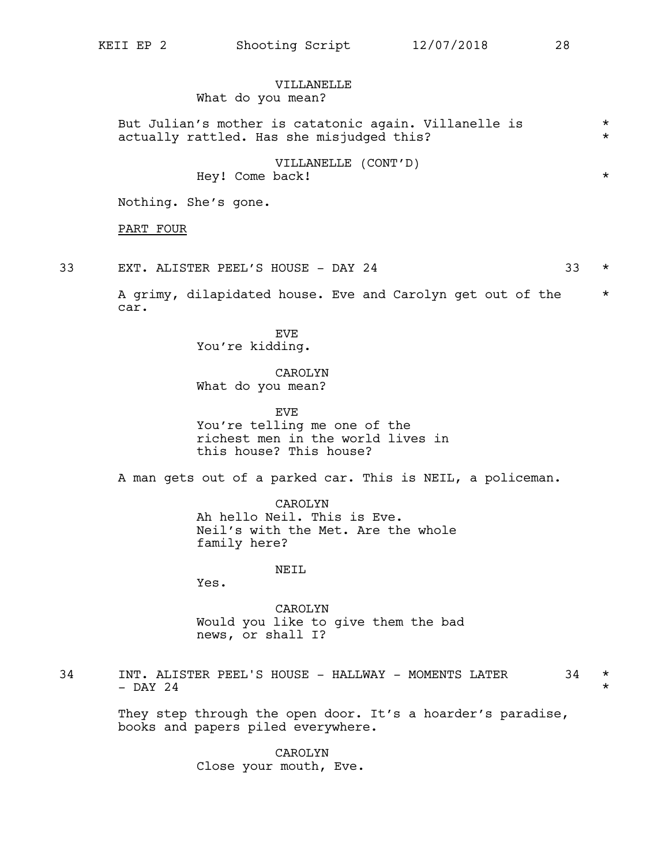But Julian's mother is catatonic again. Villanelle is \*

VILLANELLE (CONT'D)

## VILLANELLE

What do you mean?

actually rattled. Has she misjudged this? \*

|    | Hey! Come back!                                                                                            | $^\star$             |
|----|------------------------------------------------------------------------------------------------------------|----------------------|
|    | Nothing. She's gone.                                                                                       |                      |
|    | PART FOUR                                                                                                  |                      |
| 33 | 33<br>EXT. ALISTER PEEL'S HOUSE - DAY 24                                                                   | $^\star$             |
|    | A grimy, dilapidated house. Eve and Carolyn get out of the<br>car.                                         | $^\star$             |
|    | EVE<br>You're kidding.                                                                                     |                      |
|    | CAROLYN<br>What do you mean?                                                                               |                      |
|    | <b>EVE</b><br>You're telling me one of the<br>richest men in the world lives in<br>this house? This house? |                      |
|    | A man gets out of a parked car. This is NEIL, a policeman.                                                 |                      |
|    | CAROLYN<br>Ah hello Neil. This is Eve.<br>Neil's with the Met. Are the whole<br>family here?               |                      |
|    | NEIL<br>Yes.                                                                                               |                      |
|    | CAROLYN<br>Would you like to give them the bad<br>news, or shall I?                                        |                      |
| 34 | INT. ALISTER PEEL'S HOUSE - HALLWAY - MOMENTS LATER<br>34<br>$-$ DAY 24                                    | $^\star$<br>$^\star$ |
|    | They step through the open door. It's a hoarder's paradise,<br>books and papers piled everywhere.          |                      |
|    | CAROLYN<br>Close your mouth, Eve.                                                                          |                      |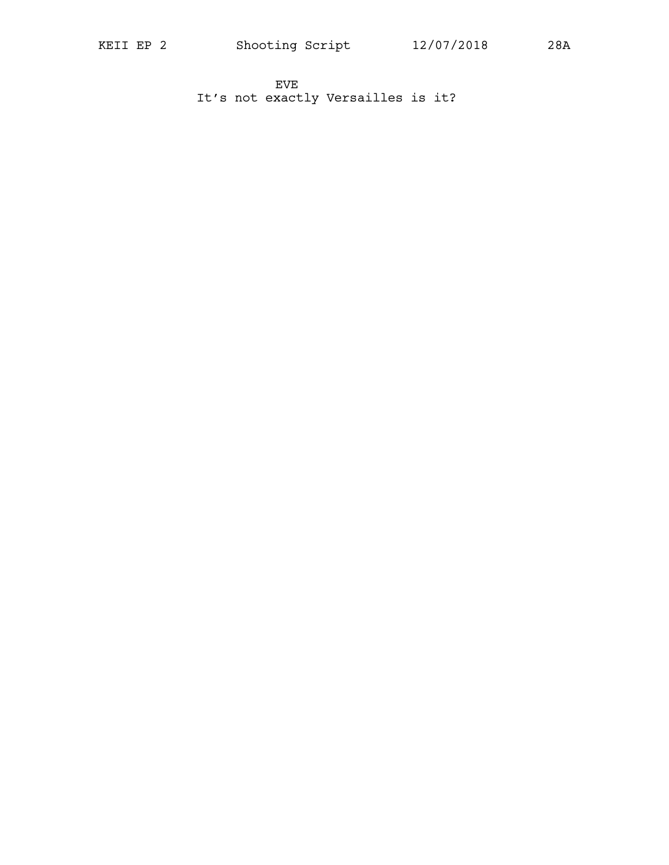EVE It's not exactly Versailles is it?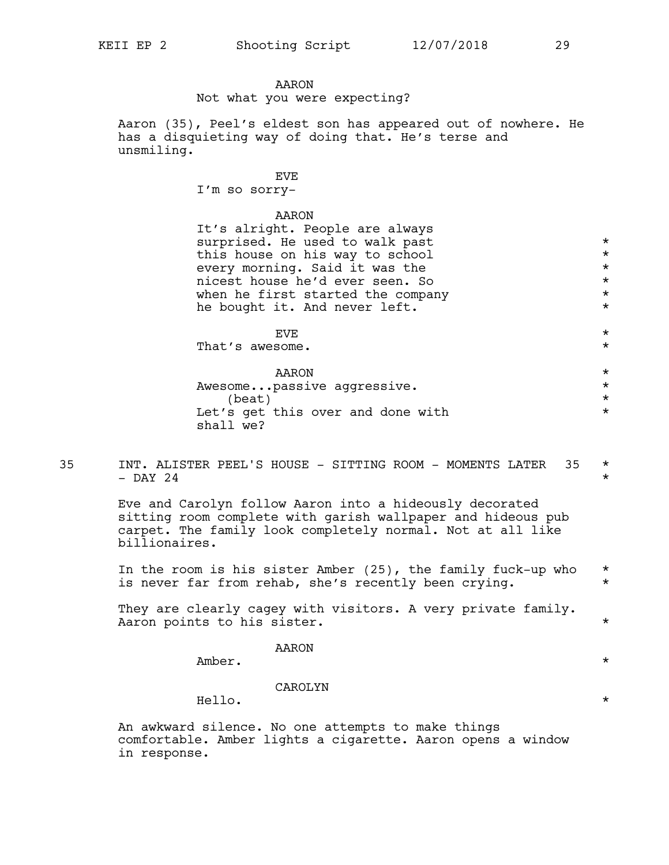### AARON

Not what you were expecting?

Aaron (35), Peel's eldest son has appeared out of nowhere. He has a disquieting way of doing that. He's terse and unsmiling.

#### EVE

I'm so sorry-

#### AARON

It's alright. People are always surprised. He used to walk past  $*$ this house on his way to school  $*$ every morning. Said it was the  $*$ nicest house he'd ever seen. So \* when he first started the company  $*$ <br>he bought it. And never left.  $*$ he bought it. And never left.  $EVE$   $\star$ That's awesome.  $*$ AARON \* Awesome...passive aggressive. \* \* \* \*  $\star$ Let's get this over and done with  $*$ shall we?

35 INT. ALISTER PEEL'S HOUSE - SITTING ROOM - MOMENTS LATER 35  $\star$  $-$  DAY 24  $*$ 

> Eve and Carolyn follow Aaron into a hideously decorated sitting room complete with garish wallpaper and hideous pub carpet. The family look completely normal. Not at all like billionaires.

In the room is his sister Amber  $(25)$ , the family fuck-up who  $*$ is never far from rehab, she's recently been crying. \*

They are clearly cagey with visitors. A very private family. Aaron points to his sister.  $\star$ 

#### AARON

Amber.  $\star$ 

### CAROLYN

Hello.  $\star$ 

An awkward silence. No one attempts to make things comfortable. Amber lights a cigarette. Aaron opens a window in response.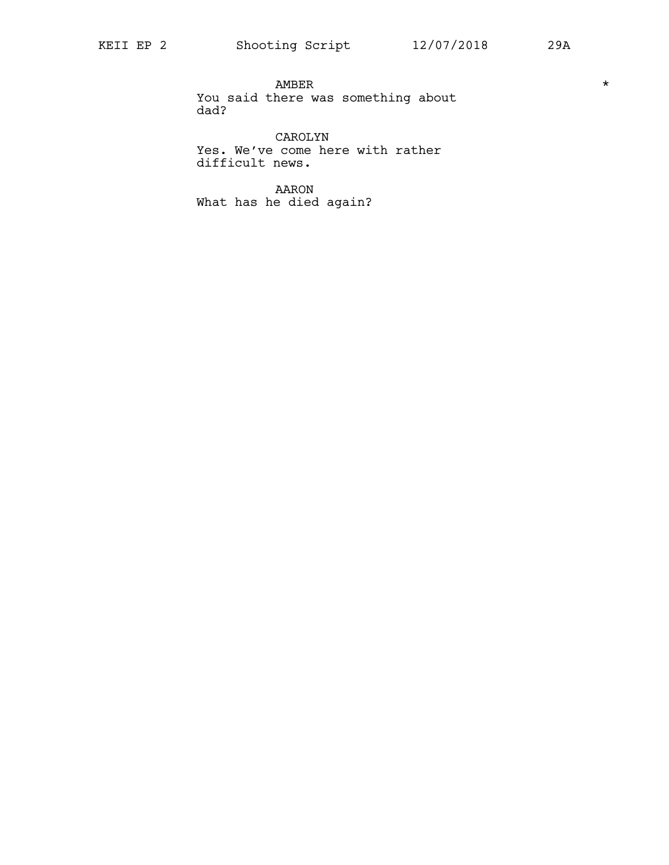$\begin{tabular}{ccccc}\nAMBER & & & & & & & \star \n\end{tabular}$ You said there was something about dad?

CAROLYN Yes. We've come here with rather difficult news.

AARON What has he died again?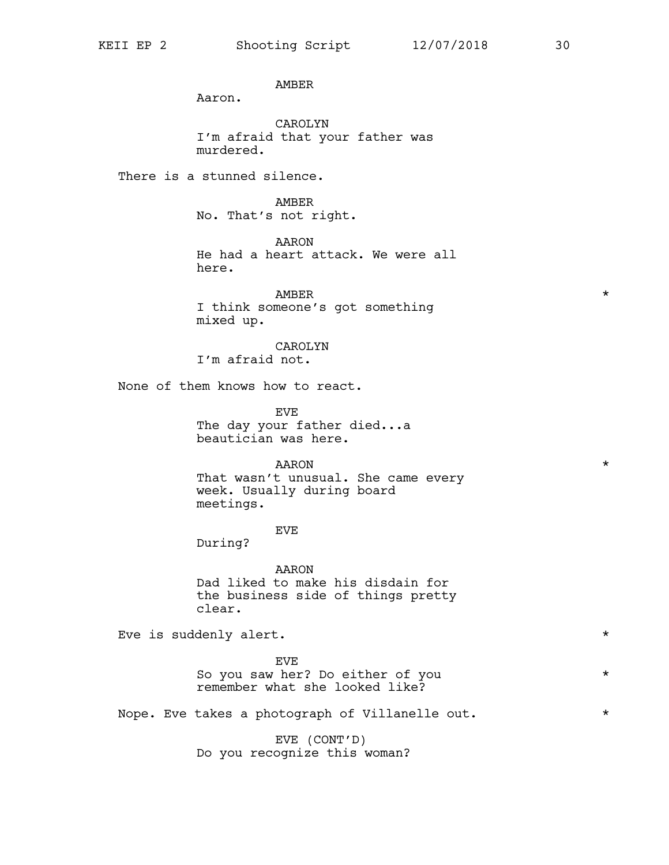AMBER

Aaron.

CAROLYN I'm afraid that your father was murdered.

There is a stunned silence.

AMBER No. That's not right.

AARON He had a heart attack. We were all here.

 $\texttt{AMBER}$   $\star$ I think someone's got something mixed up.

CAROLYN

I'm afraid not.

None of them knows how to react.

EVE The day your father died...a beautician was here.

### AARON \*

That wasn't unusual. She came every week. Usually during board meetings.

### EVE

During?

AARON Dad liked to make his disdain for the business side of things pretty clear.

Eve is suddenly alert.  $\star$ 

EVE So you saw her? Do either of you \* remember what she looked like?

Nope. Eve takes a photograph of Villanelle out.  $*$ 

EVE (CONT'D) Do you recognize this woman?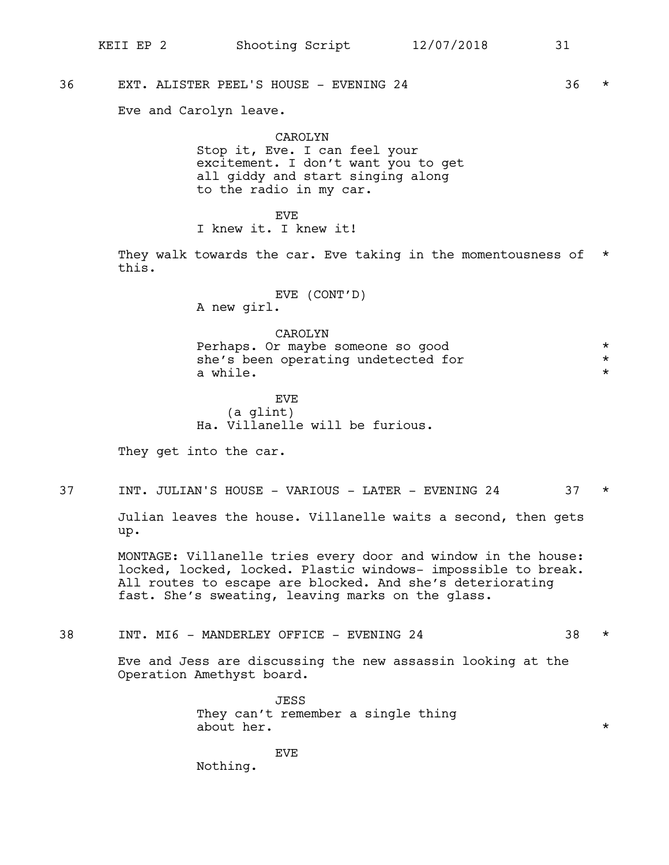36 EXT. ALISTER PEEL'S HOUSE - EVENING 24 36 \*

Eve and Carolyn leave.

CAROLYN Stop it, Eve. I can feel your excitement. I don't want you to get all giddy and start singing along to the radio in my car.

EVE I knew it. I knew it!

They walk towards the car. Eve taking in the momentousness of \* this.

> EVE (CONT'D) A new girl.

CAROLYN Perhaps. Or maybe someone so good  $*$ <br>she's been operating undetected for  $*$ she's been operating undetected for \* a while.  $\star$ 

**EVE** (a glint) Ha. Villanelle will be furious.

They get into the car.

37 INT. JULIAN'S HOUSE - VARIOUS - LATER - EVENING 24 37 \*

Julian leaves the house. Villanelle waits a second, then gets up.

MONTAGE: Villanelle tries every door and window in the house: locked, locked, locked. Plastic windows- impossible to break. All routes to escape are blocked. And she's deteriorating fast. She's sweating, leaving marks on the glass.

38 INT. MI6 - MANDERLEY OFFICE - EVENING 24 38 \*

Eve and Jess are discussing the new assassin looking at the Operation Amethyst board.

> JESS They can't remember a single thing about her.  $\star$

Nothing.

EVE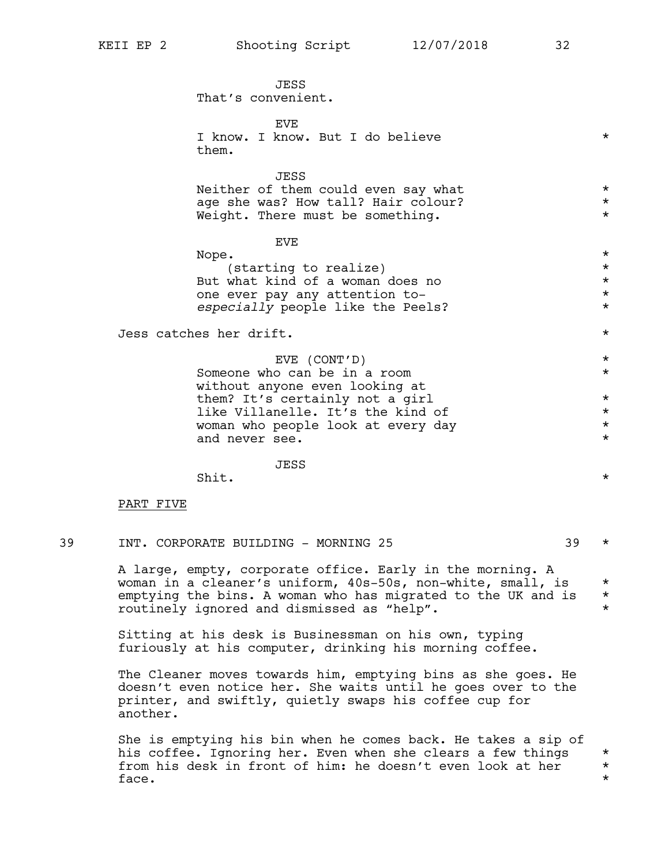JESS That's convenient.

**EVE** I know. I know. But I do believe  $*$ them.

JESS Neither of them could even say what \*\* age she was? How tall? Hair colour? \* \* \* \* Weight. There must be something.  $*$ 

### EVE

| Nope.                             | $\star$ |
|-----------------------------------|---------|
| (starting to realize)             | $\star$ |
| But what kind of a woman does no  | $\star$ |
| one ever pay any attention to-    | $\star$ |
| especially people like the Peels? | $\star$ |

Jess catches her drift. \*

EVE (CONT'D) \* Someone who can be in a room  $*$ without anyone even looking at them? It's certainly not a girl  $*$ like Villanelle. It's the kind of  $\qquad \qquad \star$ woman who people look at every day  $*$ and never see.  $\star$ 

#### JESS

shit.  $\star$ 

### PART FIVE

A large, empty, corporate office. Early in the morning. A woman in a cleaner's uniform,  $40s-50s$ , non-white, small, is  $*$ emptying the bins. A woman who has migrated to the UK and is  $*$ routinely ignored and dismissed as "help". \*

Sitting at his desk is Businessman on his own, typing furiously at his computer, drinking his morning coffee.

The Cleaner moves towards him, emptying bins as she goes. He doesn't even notice her. She waits until he goes over to the printer, and swiftly, quietly swaps his coffee cup for another.

She is emptying his bin when he comes back. He takes a sip of his coffee. Ignoring her. Even when she clears a few things  $*$ <br>from his desk in front of him: he doesn't even look at her  $*$ from his desk in front of him: he doesn't even look at her \*  $face.$  \*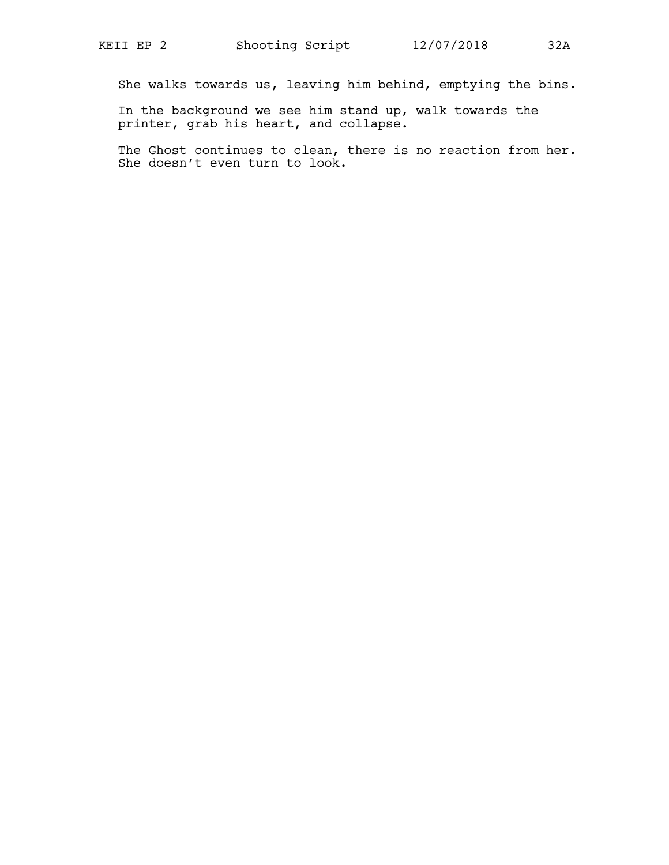She walks towards us, leaving him behind, emptying the bins.

In the background we see him stand up, walk towards the printer, grab his heart, and collapse.

The Ghost continues to clean, there is no reaction from her. She doesn't even turn to look.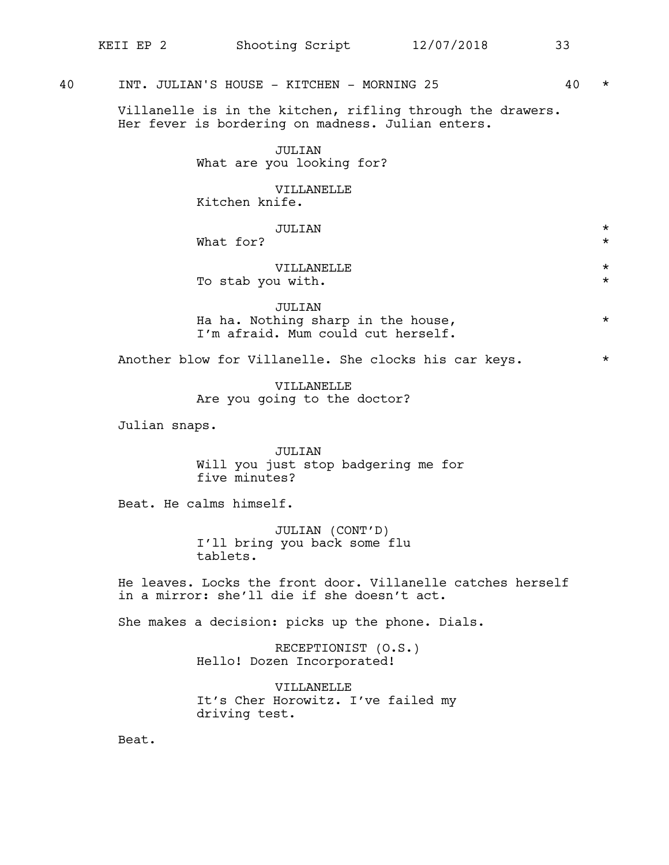### 40 INT. JULIAN'S HOUSE - KITCHEN - MORNING 25 40 \*

Villanelle is in the kitchen, rifling through the drawers. Her fever is bordering on madness. Julian enters.

> JULIAN What are you looking for?

VILLANELLE Kitchen knife.

| JULIAN            | $\star$ |
|-------------------|---------|
| What for?         | $\star$ |
|                   |         |
| VILLANELLE        | $\star$ |
| To stab you with. | $\star$ |
|                   |         |
| TIIT TAN          |         |

JULIAN Ha ha. Nothing sharp in the house,  $*$ I'm afraid. Mum could cut herself.

Another blow for Villanelle. She clocks his car keys. \*

VILLANELLE Are you going to the doctor?

Julian snaps.

JULIAN Will you just stop badgering me for five minutes?

Beat. He calms himself.

JULIAN (CONT'D) I'll bring you back some flu tablets.

He leaves. Locks the front door. Villanelle catches herself in a mirror: she'll die if she doesn't act.

She makes a decision: picks up the phone. Dials.

RECEPTIONIST (O.S.) Hello! Dozen Incorporated!

VILLANELLE It's Cher Horowitz. I've failed my driving test.

Beat.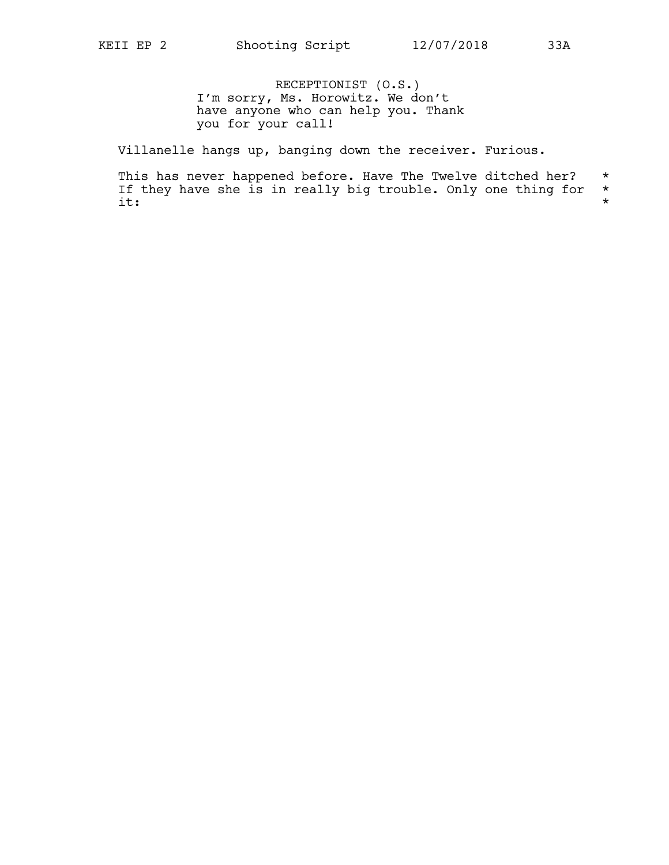RECEPTIONIST (O.S.) I'm sorry, Ms. Horowitz. We don't have anyone who can help you. Thank you for your call!

Villanelle hangs up, banging down the receiver. Furious.

This has never happened before. Have The Twelve ditched her?  $*$  If they have she is in really big trouble. Only one thing for  $*$ If they have she is in really big trouble. Only one thing for  $*$ <br>it:  $\pm$ :  $\star$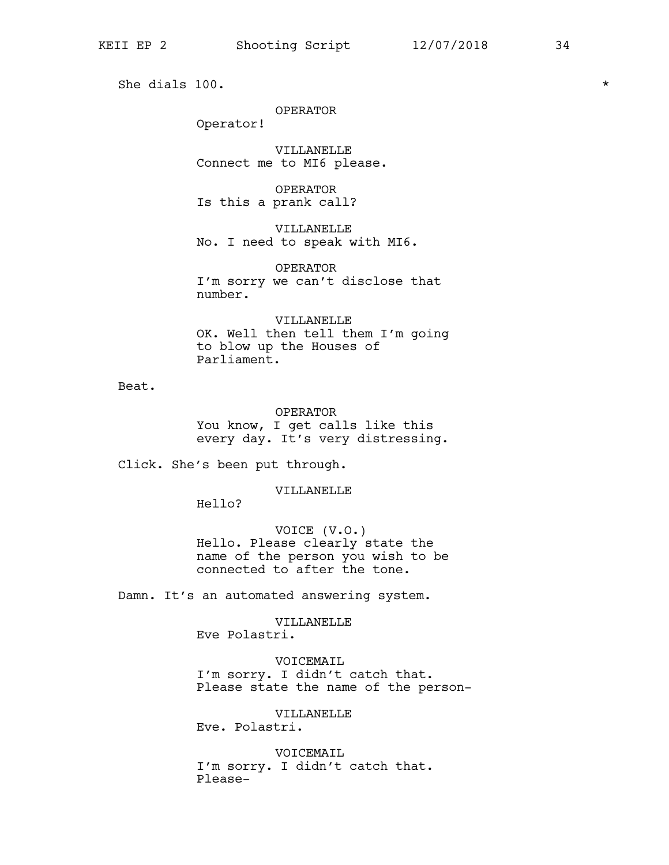She dials 100.  $\star$ 

OPERATOR

Operator!

VILLANELLE Connect me to MI6 please.

OPERATOR Is this a prank call?

VILLANELLE No. I need to speak with MI6.

OPERATOR I'm sorry we can't disclose that number.

VILLANELLE OK. Well then tell them I'm going to blow up the Houses of Parliament.

Beat.

OPERATOR You know, I get calls like this every day. It's very distressing.

Click. She's been put through.

VILLANELLE

Hello?

VOICE (V.O.) Hello. Please clearly state the name of the person you wish to be connected to after the tone.

Damn. It's an automated answering system.

VILLANELLE Eve Polastri.

VOICEMAIL I'm sorry. I didn't catch that. Please state the name of the person-

VILLANELLE Eve. Polastri.

VOICEMAIL I'm sorry. I didn't catch that. Please-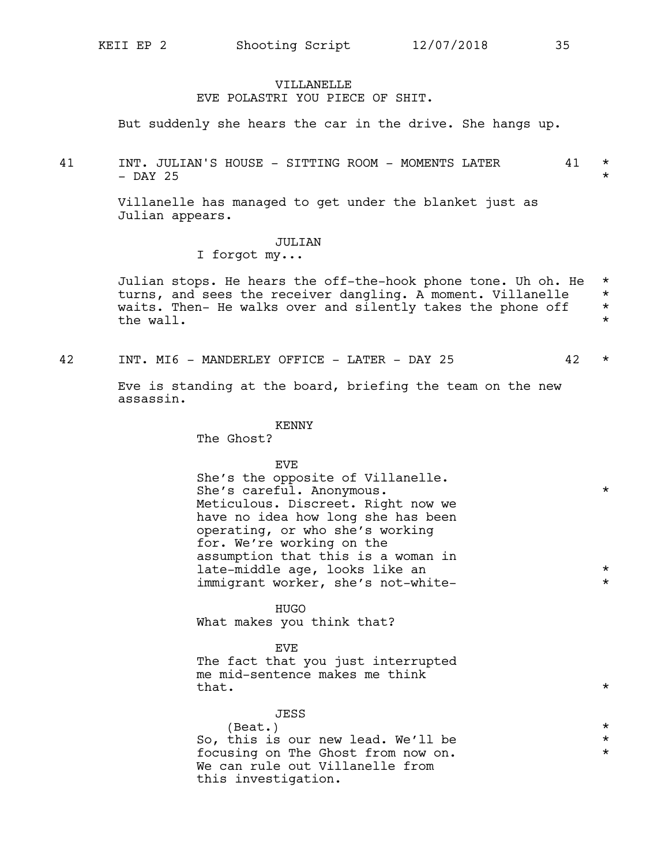#### VILLANELLE

### EVE POLASTRI YOU PIECE OF SHIT.

But suddenly she hears the car in the drive. She hangs up.

41 INT. JULIAN'S HOUSE - SITTING ROOM - MOMENTS LATER 41 \* - DAY 25  $\star$ 

> Villanelle has managed to get under the blanket just as Julian appears.

### JULIAN

I forgot my...

Julian stops. He hears the off-the-hook phone tone. Uh oh. He \* turns, and sees the receiver dangling. A moment. Villanelle \*<br>waits, Then- He walks over and silently takes the phone off \* waits. Then- He walks over and silently takes the phone off \* the wall.  $\star$ 

42 INT. MI6 - MANDERLEY OFFICE - LATER - DAY 25 42 \*

Eve is standing at the board, briefing the team on the new assassin.

#### KENNY

The Ghost?

### EVE

She's the opposite of Villanelle. She's careful. Anonymous. \* Meticulous. Discreet. Right now we have no idea how long she has been operating, or who she's working for. We're working on the assumption that this is a woman in late-middle age, looks like an  $*$ immigrant worker, she's not-white-<br>\*

#### HUGO

What makes you think that?

### EVE

The fact that you just interrupted me mid-sentence makes me think that.  $\star$ 

| JESS                               |         |
|------------------------------------|---------|
| (Beat.)                            | $\star$ |
| So, this is our new lead. We'll be | $\star$ |
| focusing on The Ghost from now on. | $\star$ |
| We can rule out Villanelle from    |         |
| this investigation.                |         |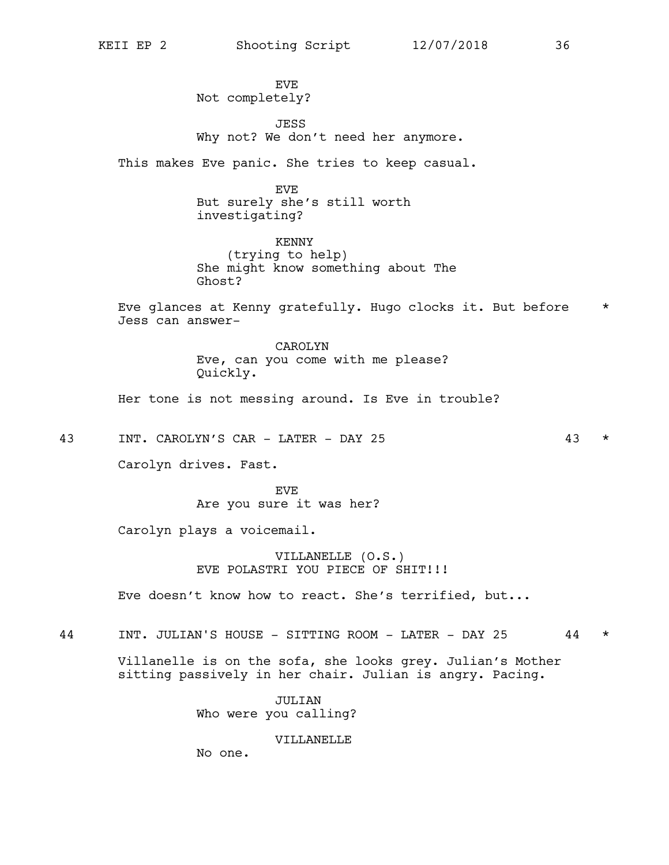**EVE** Not completely?

JESS Why not? We don't need her anymore.

This makes Eve panic. She tries to keep casual.

EVE But surely she's still worth investigating?

KENNY (trying to help) She might know something about The Ghost?

Eve glances at Kenny gratefully. Hugo clocks it. But before \* Jess can answer-

> CAROLYN Eve, can you come with me please? Quickly.

Her tone is not messing around. Is Eve in trouble?

43 INT. CAROLYN'S CAR - LATER - DAY 25 43 \*

Carolyn drives. Fast.

**EVE** Are you sure it was her?

Carolyn plays a voicemail.

VILLANELLE (O.S.) EVE POLASTRI YOU PIECE OF SHIT!!!

Eve doesn't know how to react. She's terrified, but...

44 INT. JULIAN'S HOUSE - SITTING ROOM - LATER - DAY 25 44 \*

Villanelle is on the sofa, she looks grey. Julian's Mother sitting passively in her chair. Julian is angry. Pacing.

> JULIAN Who were you calling?

> > VILLANELLE

No one.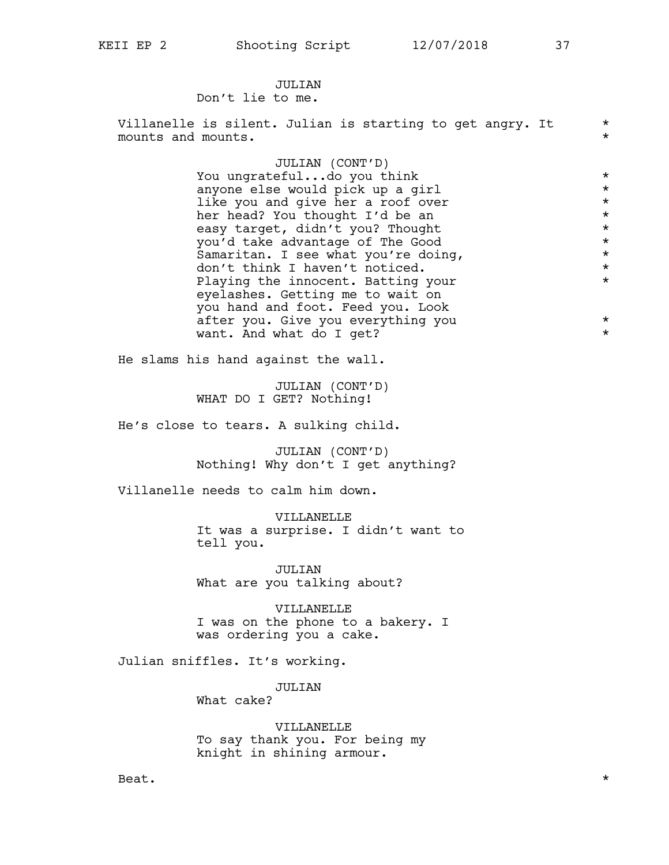### JULTAN Don't lie to me.

Villanelle is silent. Julian is starting to get angry. It  $*$ mounts and mounts.  $\star$ JULIAN (CONT'D) You ungrateful...do you think \* anyone else would pick up a girl \* like you and give her a roof over  $*$ <br>her head? You thought I'd be an her head? You thought I'd be an  $\star$ <br>easy target. didn't you? Thought easy target, didn't you? Thought \* you'd take advantage of The Good<br>Samaritan. I see what you're doing. \* \* \* \* Samaritan. I see what you're doing, don't think I haven't noticed.  $*$ Playing the innocent. Batting your  $*$ eyelashes. Getting me to wait on you hand and foot. Feed you. Look after you. Give you everything you  $*$ want. And what do I get?  $*$ He slams his hand against the wall. JULIAN (CONT'D) WHAT DO I GET? Nothing! He's close to tears. A sulking child. JULIAN (CONT'D) Nothing! Why don't I get anything? Villanelle needs to calm him down. VILLANELLE It was a surprise. I didn't want to tell you. JULIAN What are you talking about? VILLANELLE I was on the phone to a bakery. I was ordering you a cake. Julian sniffles. It's working.

> JULIAN What cake?

VILLANELLE To say thank you. For being my knight in shining armour.

Beat.  $\star$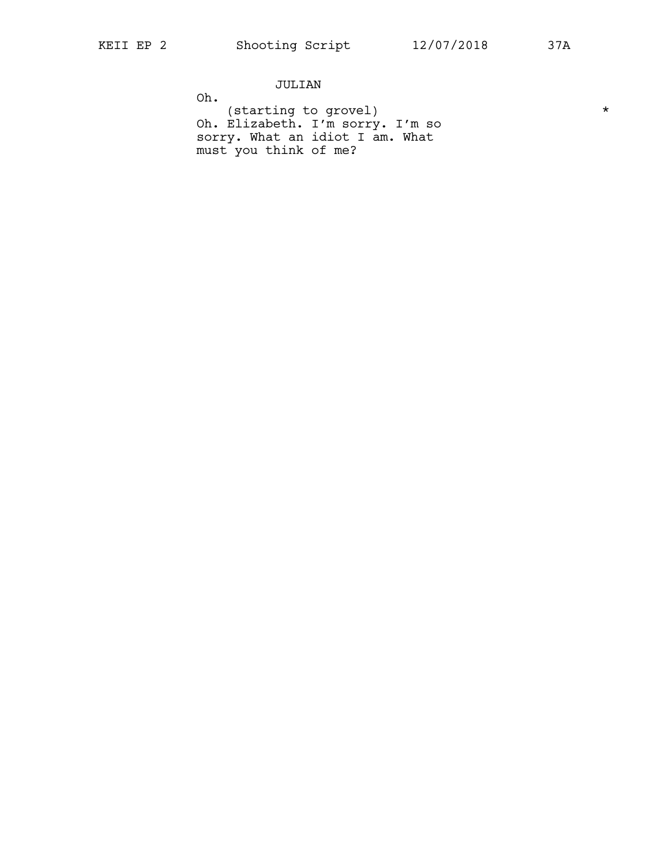JULIAN

Oh.

(starting to grovel) \* Oh. Elizabeth. I'm sorry. I'm so sorry. What an idiot I am. What must you think of me?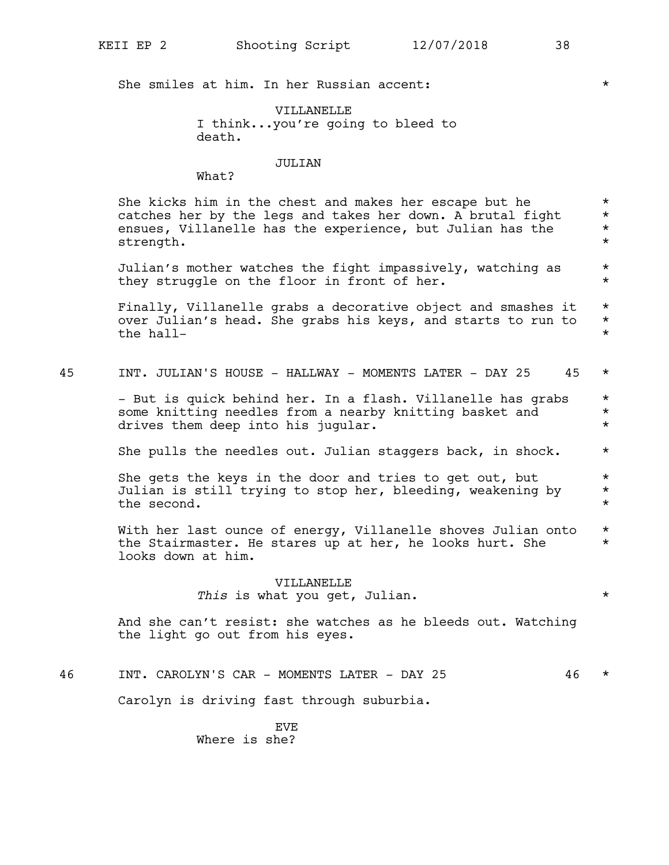She smiles at him. In her Russian accent:  $*$ 

VILLANELLE I think...you're going to bleed to death.

### JULIAN

What?

She kicks him in the chest and makes her escape but he  $*$ <br>catches her by the legs and takes her down. A brutal fight  $*$ catches her by the legs and takes her down. A brutal fight ensues, Villanelle has the experience, but Julian has the  $*$ strength.  $\star$ 

Julian's mother watches the fight impassively, watching as \* they struggle on the floor in front of her.  $*$ 

Finally, Villanelle grabs a decorative object and smashes it  $*$ over Julian's head. She grabs his keys, and starts to run to  $*$ <br>the hallthe hall-

| 45<br>JULIAN'S<br>INT.<br>HOUSE<br>HALLWAY<br>LATER<br>MOMENTS T<br>$\overline{\phantom{a}}$<br>$\overline{\phantom{0}}$ | - - |  |
|--------------------------------------------------------------------------------------------------------------------------|-----|--|
|--------------------------------------------------------------------------------------------------------------------------|-----|--|

- But is quick behind her. In a flash. Villanelle has grabs \* some knitting needles from a nearby knitting basket and  $*$ drives them deep into his jugular.  $\star$ 

She pulls the needles out. Julian staggers back, in shock.  $*$ 

She gets the keys in the door and tries to get out, but  $*$ Julian is still trying to stop her, bleeding, weakening by  $*$ the second.  $\star$ 

With her last ounce of energy, Villanelle shoves Julian onto \* the Stairmaster. He stares up at her, he looks hurt. She \* looks down at him.

> VILLANELLE *This* is what you get, Julian. \*

And she can't resist: she watches as he bleeds out. Watching the light go out from his eyes.

46 INT. CAROLYN'S CAR - MOMENTS LATER - DAY 25 46 \*

Carolyn is driving fast through suburbia.

EVE Where is she?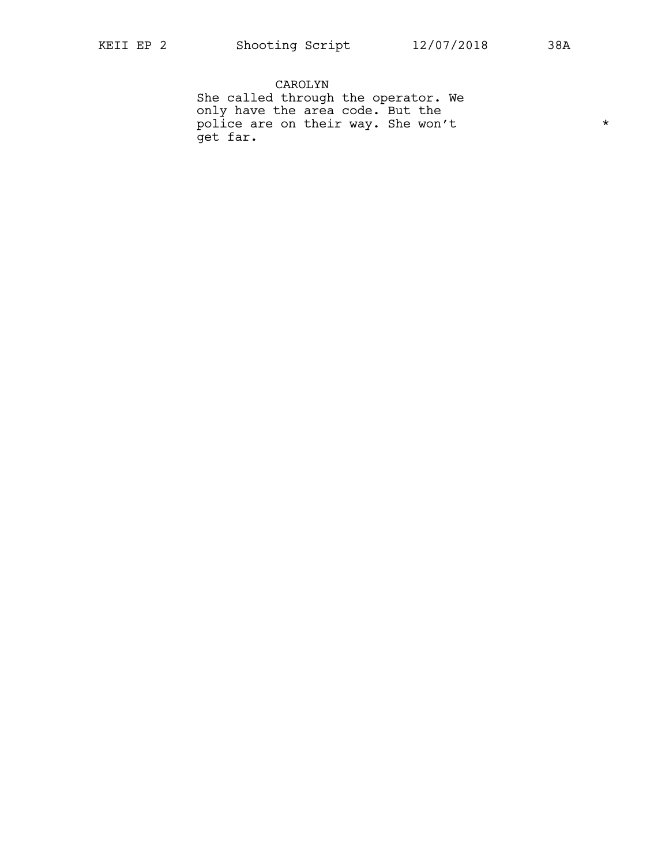CAROLYN She called through the operator. We only have the area code. But the police are on their way. She won't  $*$ get far.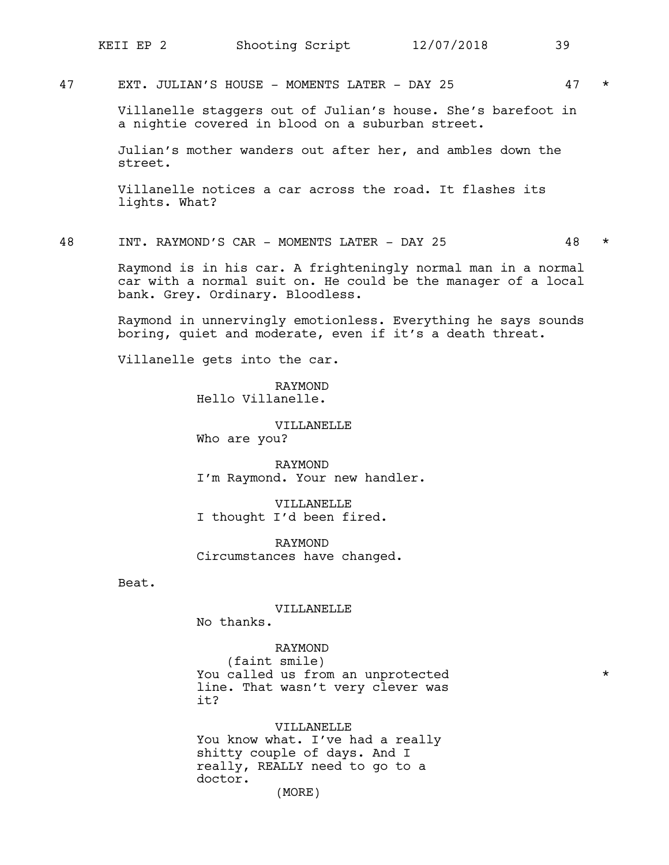47 EXT. JULIAN'S HOUSE - MOMENTS LATER - DAY 25 47 \*

Villanelle staggers out of Julian's house. She's barefoot in a nightie covered in blood on a suburban street.

Julian's mother wanders out after her, and ambles down the street.

Villanelle notices a car across the road. It flashes its lights. What?

48 INT. RAYMOND'S CAR - MOMENTS LATER - DAY 25 48 \*

Raymond is in his car. A frighteningly normal man in a normal car with a normal suit on. He could be the manager of a local bank. Grey. Ordinary. Bloodless.

Raymond in unnervingly emotionless. Everything he says sounds boring, quiet and moderate, even if it's a death threat.

Villanelle gets into the car.

RAYMOND Hello Villanelle.

VILLANELLE Who are you?

RAYMOND I'm Raymond. Your new handler.

VILLANELLE I thought I'd been fired.

RAYMOND Circumstances have changed.

Beat.

VILLANELLE

No thanks.

RAYMOND (faint smile) You called us from an unprotected  $*$ line. That wasn't very clever was it?

VILLANELLE You know what. I've had a really shitty couple of days. And I really, REALLY need to go to a doctor. (MORE)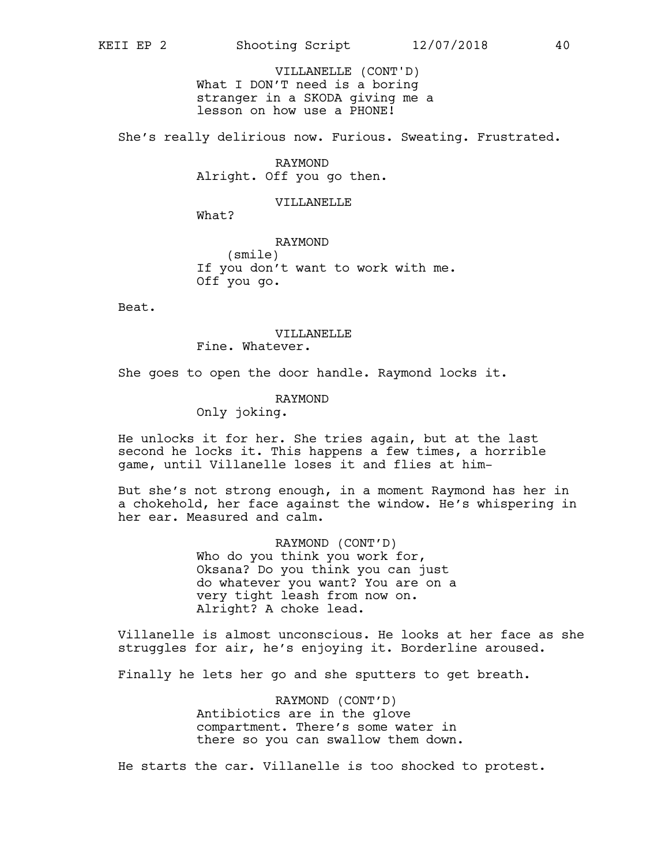What I DON'T need is a boring stranger in a SKODA giving me a lesson on how use a PHONE! VILLANELLE (CONT'D)

She's really delirious now. Furious. Sweating. Frustrated.

RAYMOND Alright. Off you go then.

### VILLANELLE

What?

RAYMOND (smile) If you don't want to work with me. Off you go.

Beat.

### VILLANELLE

Fine. Whatever.

She goes to open the door handle. Raymond locks it.

### RAYMOND

Only joking.

He unlocks it for her. She tries again, but at the last second he locks it. This happens a few times, a horrible game, until Villanelle loses it and flies at him-

But she's not strong enough, in a moment Raymond has her in a chokehold, her face against the window. He's whispering in her ear. Measured and calm.

> RAYMOND (CONT'D) Who do you think you work for, Oksana? Do you think you can just do whatever you want? You are on a very tight leash from now on. Alright? A choke lead.

Villanelle is almost unconscious. He looks at her face as she struggles for air, he's enjoying it. Borderline aroused.

Finally he lets her go and she sputters to get breath.

RAYMOND (CONT'D) Antibiotics are in the glove compartment. There's some water in there so you can swallow them down.

He starts the car. Villanelle is too shocked to protest.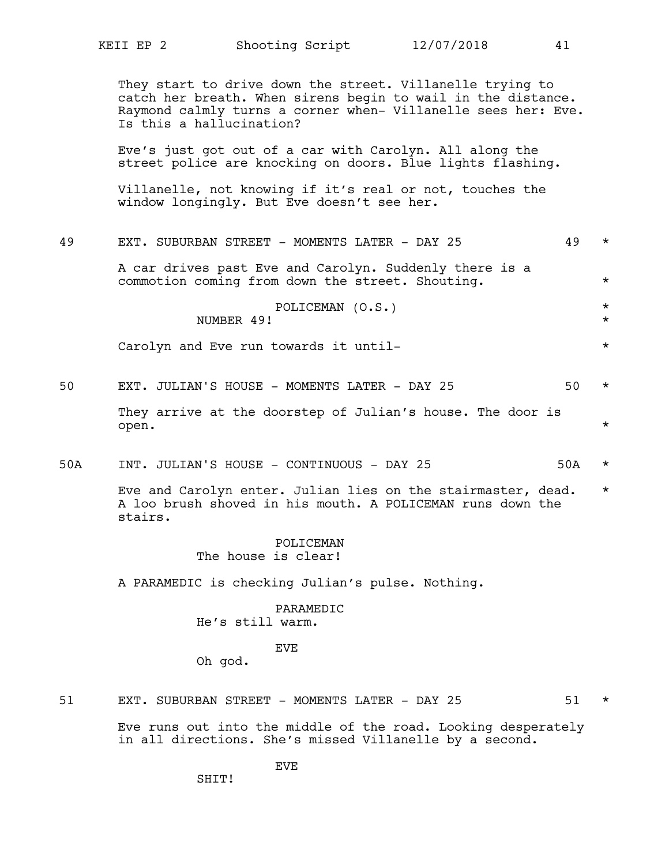They start to drive down the street. Villanelle trying to catch her breath. When sirens begin to wail in the distance. Raymond calmly turns a corner when- Villanelle sees her: Eve. Is this a hallucination? Eve's just got out of a car with Carolyn. All along the street police are knocking on doors. Blue lights flashing. Villanelle, not knowing if it's real or not, touches the window longingly. But Eve doesn't see her. 49 EXT. SUBURBAN STREET - MOMENTS LATER - DAY 25 49 \* A car drives past Eve and Carolyn. Suddenly there is a commotion coming from down the street. Shouting. \* POLICEMAN (O.S.) \* NUMBER 49! \* Carolyn and Eve run towards it until-  $\star$ 50 EXT. JULIAN'S HOUSE - MOMENTS LATER - DAY 25 50 \* They arrive at the doorstep of Julian's house. The door is open. \* 50A INT. JULIAN'S HOUSE - CONTINUOUS - DAY 25 50A \* Eve and Carolyn enter. Julian lies on the stairmaster, dead. \* A loo brush shoved in his mouth. A POLICEMAN runs down the stairs. POLICEMAN The house is clear! A PARAMEDIC is checking Julian's pulse. Nothing. PARAMEDIC He's still warm. EVE Oh god. 51 EXT. SUBURBAN STREET - MOMENTS LATER - DAY 25 51 \* Eve runs out into the middle of the road. Looking desperately in all directions. She's missed Villanelle by a second.

EVE

SHTT!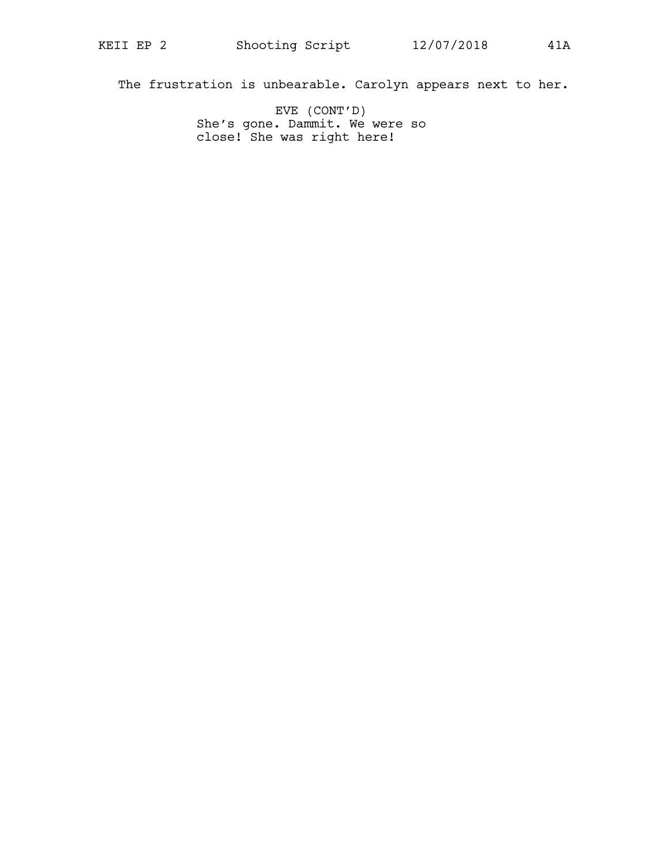The frustration is unbearable. Carolyn appears next to her.

EVE (CONT'D) She's gone. Dammit. We were so close! She was right here!